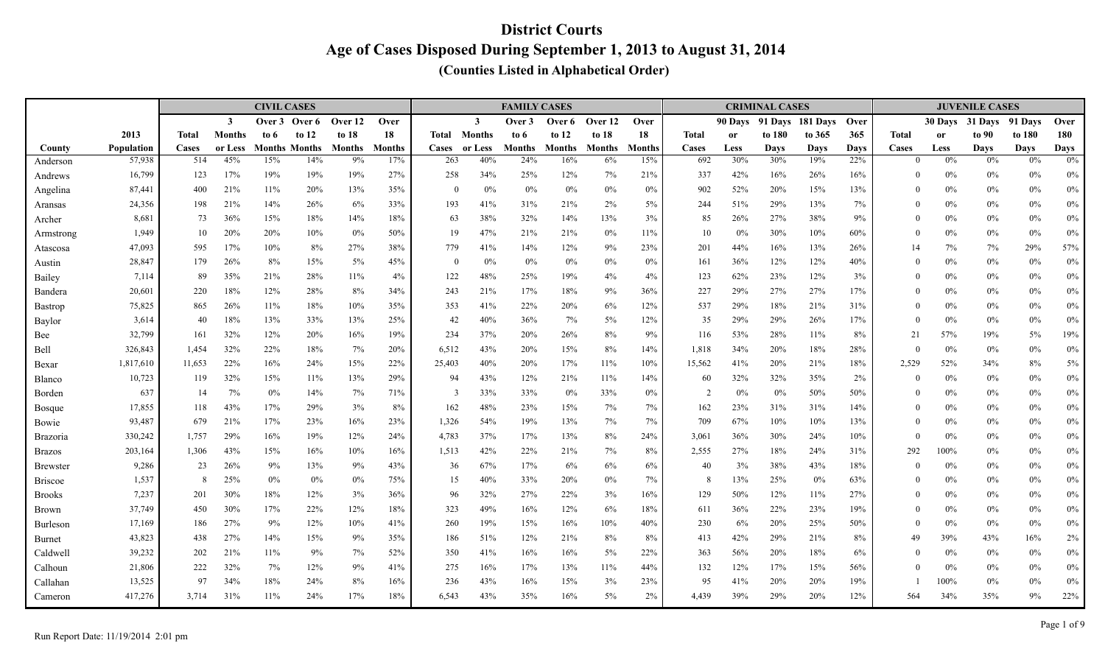|                     |                  |              |                | <b>CIVIL CASES</b> |                             |                     |                      |                |                | <b>FAMILY CASES</b>  |                      |                     |                      |                |             | <b>CRIMINAL CASES</b> |                    |                    |                   |               | <b>JUVENILE CASES</b> |                   |                   |
|---------------------|------------------|--------------|----------------|--------------------|-----------------------------|---------------------|----------------------|----------------|----------------|----------------------|----------------------|---------------------|----------------------|----------------|-------------|-----------------------|--------------------|--------------------|-------------------|---------------|-----------------------|-------------------|-------------------|
|                     |                  |              | $\mathbf{3}$   | Over 3             | Over 6                      | Over 12             | Over                 |                | $\mathbf{3}$   | Over 3               | Over 6               | Over 12             | Over                 |                | 90 Days     |                       | 91 Davs 181 Davs   | Over               |                   | 30 Days       | 31 Days               | 91 Days           | Over              |
|                     | 2013             | <b>Total</b> | <b>Months</b>  | to $6$             | to $12$                     | to 18               | 18                   | Total          | <b>Months</b>  | to 6                 | to $12$              | to 18               | 18                   | <b>Total</b>   | <b>or</b>   | to 180                | to 365             | 365                | <b>Total</b>      | <sub>or</sub> | to 90                 | to 180            | 180               |
| County              | Population       | Cases<br>514 | or Less<br>45% | 15%                | <b>Months Months</b><br>14% | <b>Months</b><br>9% | <b>Months</b><br>17% | Cases<br>263   | or Less<br>40% | <b>Months</b><br>24% | <b>Months</b><br>16% | <b>Months</b><br>6% | <b>Months</b><br>15% | Cases<br>692   | Less<br>30% | Days<br>30%           | <b>Days</b><br>19% | <b>Days</b><br>22% | Cases<br>$\Omega$ | Less<br>$0\%$ | <b>Days</b><br>0%     | <b>Days</b><br>0% | <b>Days</b><br>0% |
| Anderson            | 57,938<br>16,799 | 123          | 17%            | 19%                | 19%                         | 19%                 | 27%                  | 258            | 34%            | 25%                  | 12%                  | 7%                  | 21%                  | 337            | 42%         | 16%                   | 26%                | 16%                | $\Omega$          | $0\%$         | $0\%$                 | 0%                |                   |
| Andrews             | 87,441           | 400          | 21%            | 11%                | 20%                         | 13%                 | 35%                  | $\overline{0}$ | $0\%$          | 0%                   | $0\%$                | $0\%$               | $0\%$                | 902            | 52%         | 20%                   | 15%                | 13%                | $\theta$          | $0\%$         | $0\%$                 | $0\%$             | $0\%$<br>$0\%$    |
| Angelina<br>Aransas | 24,356           | 198          | 21%            | 14%                | 26%                         | 6%                  | 33%                  | 193            | 41%            | 31%                  | 21%                  | 2%                  | 5%                   | 244            | 51%         | 29%                   | 13%                | 7%                 | $\theta$          | $0\%$         | $0\%$                 | $0\%$             | $0\%$             |
| Archer              | 8,681            | 73           | 36%            | 15%                | 18%                         | 14%                 | 18%                  | 63             | 38%            | 32%                  | 14%                  | 13%                 | 3%                   | 85             | 26%         | 27%                   | 38%                | 9%                 | $\theta$          | $0\%$         | $0\%$                 | $0\%$             | $0\%$             |
| Armstrong           | 1,949            | 10           | 20%            | 20%                | 10%                         | 0%                  | 50%                  | 19             | 47%            | 21%                  | 21%                  | $0\%$               | 11%                  | 10             | $0\%$       | 30%                   | 10%                | 60%                | $\theta$          | $0\%$         | $0\%$                 | $0\%$             | $0\%$             |
| Atascosa            | 47,093           | 595          | 17%            | 10%                | 8%                          | 27%                 | 38%                  | 779            | 41%            | 14%                  | 12%                  | 9%                  | 23%                  | 201            | 44%         | 16%                   | 13%                | 26%                | 14                | $7\%$         | 7%                    | 29%               | 57%               |
| Austin              | 28,847           | 179          | 26%            | 8%                 | 15%                         | 5%                  | 45%                  | $\mathbf{0}$   | $0\%$          | 0%                   | $0\%$                | $0\%$               | 0%                   | 161            | 36%         | 12%                   | 12%                | 40%                | $\theta$          | $0\%$         | $0\%$                 | $0\%$             | $0\%$             |
| Bailey              | 7,114            | 89           | 35%            | 21%                | 28%                         | 11%                 | 4%                   | 122            | 48%            | 25%                  | 19%                  | 4%                  | 4%                   | 123            | 62%         | 23%                   | 12%                | 3%                 | $\theta$          | $0\%$         | $0\%$                 | $0\%$             | $0\%$             |
| Bandera             | 20,601           | 220          | 18%            | 12%                | 28%                         | 8%                  | 34%                  | 243            | 21%            | 17%                  | 18%                  | 9%                  | 36%                  | 227            | 29%         | 27%                   | 27%                | 17%                | $\theta$          | $0\%$         | $0\%$                 | $0\%$             | $0\%$             |
| Bastrop             | 75,825           | 865          | 26%            | 11%                | 18%                         | 10%                 | 35%                  | 353            | 41%            | 22%                  | 20%                  | $6\%$               | 12%                  | 537            | 29%         | 18%                   | 21%                | 31%                | $\theta$          | $0\%$         | $0\%$                 | $0\%$             | $0\%$             |
| Baylor              | 3,614            | 40           | 18%            | 13%                | 33%                         | 13%                 | 25%                  | 42             | 40%            | 36%                  | 7%                   | 5%                  | 12%                  | 35             | 29%         | 29%                   | 26%                | 17%                | $\theta$          | 0%            | $0\%$                 | $0\%$             | $0\%$             |
| Bee                 | 32,799           | 161          | 32%            | 12%                | 20%                         | 16%                 | 19%                  | 234            | 37%            | 20%                  | 26%                  | 8%                  | 9%                   | 116            | 53%         | 28%                   | 11%                | 8%                 | 21                | 57%           | 19%                   | 5%                | $19\%$            |
| Bell                | 326,843          | 1,454        | 32%            | 22%                | 18%                         | 7%                  | 20%                  | 6,512          | 43%            | 20%                  | 15%                  | 8%                  | 14%                  | 1,818          | 34%         | 20%                   | 18%                | 28%                | $\theta$          | 0%            | $0\%$                 | $0\%$             | $0\%$             |
| Bexar               | 1,817,610        | 11,653       | 22%            | 16%                | 24%                         | 15%                 | 22%                  | 25,403         | 40%            | 20%                  | 17%                  | 11%                 | 10%                  | 15,562         | 41%         | 20%                   | 21%                | 18%                | 2,529             | 52%           | 34%                   | 8%                | 5%                |
| Blanco              | 10,723           | 119          | 32%            | 15%                | 11%                         | 13%                 | 29%                  | 94             | 43%            | 12%                  | 21%                  | 11%                 | 14%                  | 60             | 32%         | 32%                   | 35%                | 2%                 | $\Omega$          | $0\%$         | $0\%$                 | $0\%$             | $0\%$             |
| Borden              | 637              | -14          | 7%             | 0%                 | 14%                         | 7%                  | 71%                  | $\overline{3}$ | 33%            | 33%                  | 0%                   | 33%                 | 0%                   | $\overline{2}$ | 0%          | $0\%$                 | 50%                | 50%                | $\theta$          | $0\%$         | $0\%$                 | $0\%$             | $0\%$             |
| <b>Bosque</b>       | 17,855           | 118          | 43%            | 17%                | 29%                         | 3%                  | 8%                   | 162            | 48%            | 23%                  | 15%                  | 7%                  | 7%                   | 162            | 23%         | 31%                   | 31%                | 14%                | $\theta$          | 0%            | $0\%$                 | $0\%$             | $0\%$             |
| Bowie               | 93,487           | 679          | 21%            | 17%                | 23%                         | 16%                 | 23%                  | 1,326          | 54%            | 19%                  | 13%                  | 7%                  | 7%                   | 709            | 67%         | 10%                   | 10%                | 13%                | $\theta$          | 0%            | $0\%$                 | $0\%$             | $0\%$             |
| Brazoria            | 330,242          | 1,757        | 29%            | 16%                | 19%                         | 12%                 | 24%                  | 4,783          | 37%            | 17%                  | 13%                  | 8%                  | 24%                  | 3,061          | 36%         | 30%                   | 24%                | 10%                | $\theta$          | 0%            | $0\%$                 | $0\%$             | $0\%$             |
| Brazos              | 203,164          | 1,306        | 43%            | 15%                | 16%                         | 10%                 | 16%                  | 1,513          | 42%            | 22%                  | 21%                  | 7%                  | $8\%$                | 2,555          | 27%         | 18%                   | 24%                | 31%                | 292               | 100%          | $0\%$                 | $0\%$             | $0\%$             |
| Brewster            | 9,286            | 23           | 26%            | 9%                 | 13%                         | 9%                  | 43%                  | 36             | 67%            | 17%                  | 6%                   | 6%                  | 6%                   | 40             | 3%          | 38%                   | 43%                | 18%                | $\Omega$          | $0\%$         | $0\%$                 | $0\%$             | $0\%$             |
| <b>Briscoe</b>      | 1,537            | 8            | 25%            | 0%                 | 0%                          | 0%                  | 75%                  | 15             | 40%            | 33%                  | 20%                  | $0\%$               | 7%                   | 8              | 13%         | 25%                   | $0\%$              | 63%                | $\Omega$          | $0\%$         | $0\%$                 | $0\%$             | $0\%$             |
| <b>Brooks</b>       | 7,237            | 201          | 30%            | 18%                | 12%                         | 3%                  | 36%                  | 96             | 32%            | 27%                  | 22%                  | 3%                  | 16%                  | 129            | 50%         | 12%                   | 11%                | 27%                | $\theta$          | $0\%$         | $0\%$                 | $0\%$             | $0\%$             |
| Brown               | 37,749           | 450          | 30%            | 17%                | 22%                         | 12%                 | 18%                  | 323            | 49%            | 16%                  | 12%                  | 6%                  | 18%                  | 611            | 36%         | 22%                   | 23%                | 19%                | $\theta$          | $0\%$         | $0\%$                 | $0\%$             | $0\%$             |
| Burleson            | 17,169           | 186          | 27%            | 9%                 | 12%                         | 10%                 | 41%                  | 260            | 19%            | 15%                  | 16%                  | 10%                 | 40%                  | 230            | 6%          | 20%                   | 25%                | 50%                | $\theta$          | $0\%$         | $0\%$                 | $0\%$             | $0\%$             |
| Burnet              | 43,823           | 438          | 27%            | 14%                | 15%                         | 9%                  | 35%                  | 186            | 51%            | 12%                  | 21%                  | 8%                  | 8%                   | 413            | 42%         | 29%                   | 21%                | 8%                 | 49                | 39%           | 43%                   | 16%               | $2\%$             |
| Caldwell            | 39,232           | 202          | 21%            | 11%                | 9%                          | 7%                  | 52%                  | 350            | 41%            | 16%                  | 16%                  | $5\%$               | 22%                  | 363            | 56%         | 20%                   | 18%                | 6%                 | $\theta$          | 0%            | $0\%$                 | $0\%$             | $0\%$             |
| Calhoun             | 21,806           | 222          | 32%            | 7%                 | 12%                         | 9%                  | 41%                  | 275            | 16%            | 17%                  | 13%                  | 11%                 | 44%                  | 132            | 12%         | 17%                   | 15%                | 56%                | $\theta$          | $0\%$         | $0\%$                 | $0\%$             | $0\%$             |
| Callahan            | 13,525           | 97           | 34%            | 18%                | 24%                         | 8%                  | 16%                  | 236            | 43%            | 16%                  | 15%                  | 3%                  | 23%                  | 95             | 41%         | 20%                   | 20%                | 19%                |                   | 100%          | $0\%$                 | 0%                | 0%                |
| Cameron             | 417,276          | 3,714        | 31%            | 11%                | 24%                         | 17%                 | 18%                  | 6,543          | 43%            | 35%                  | 16%                  | 5%                  | 2%                   | 4,439          | 39%         | 29%                   | 20%                | 12%                | 564               | 34%           | 35%                   | 9%                | 22%               |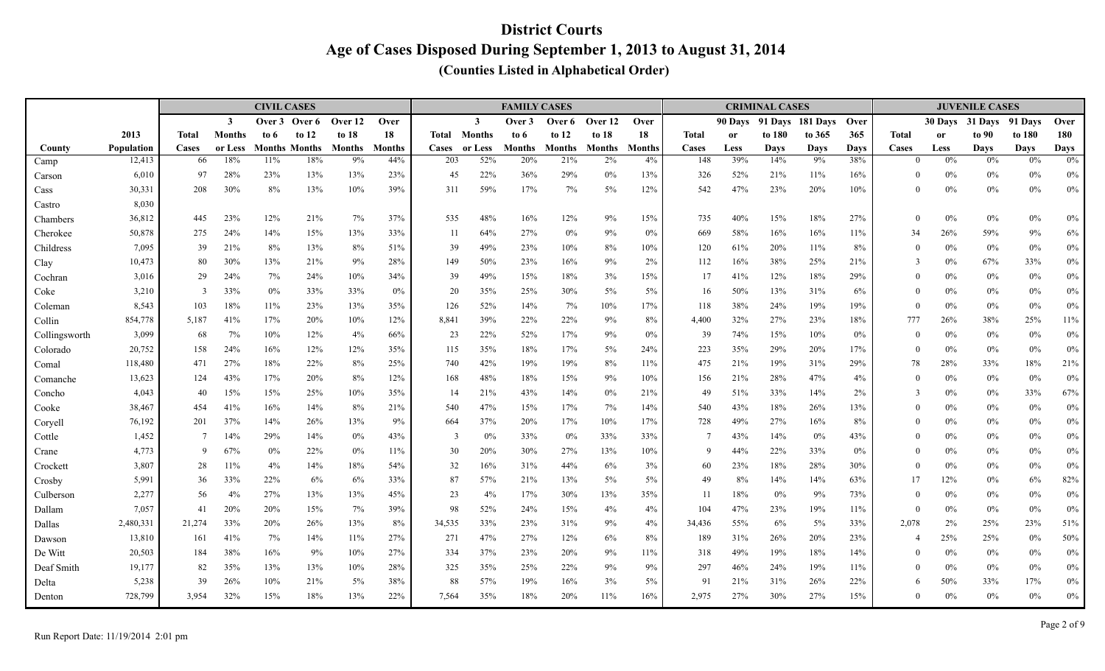|                |                   |              |                         | <b>CIVIL CASES</b> |                      |         |               |                     |              | <b>FAMILY CASES</b> |         |         |               |              |               | <b>CRIMINAL CASES</b> |             |             |                  |               | <b>JUVENILE CASES</b> |             |             |
|----------------|-------------------|--------------|-------------------------|--------------------|----------------------|---------|---------------|---------------------|--------------|---------------------|---------|---------|---------------|--------------|---------------|-----------------------|-------------|-------------|------------------|---------------|-----------------------|-------------|-------------|
|                |                   |              | $\overline{\mathbf{3}}$ |                    | Over 3 Over 6        | Over 12 | Over          |                     | $\mathbf{3}$ | Over 3              | Over 6  | Over 12 | Over          |              | 90 Days       | 91 Days               | 181 Days    | Over        |                  | 30 Davs       | 31 Days               | 91 Days     | Over        |
|                | 2013              | <b>Total</b> | <b>Months</b>           | to 6               | to $12$              | to 18   | 18            | <b>Total Months</b> |              | to 6                | to $12$ | to $18$ | 18            | <b>Total</b> | <sub>or</sub> | to 180                | to 365      | 365         | <b>Total</b>     | <sub>or</sub> | to 90                 | to 180      | 180         |
| County         | <b>Population</b> | Cases        | or Less                 |                    | <b>Months Months</b> | Months  | <b>Months</b> | <b>Cases</b>        | or Less      | Months              | Months  | Months  | <b>Months</b> | Cases        | Less          | Days                  | <b>Days</b> | <b>Days</b> | Cases            | Less          | <b>Days</b>           | <b>Days</b> | <b>Days</b> |
| Camp           | 12,413            | 66           | 18%                     | 11%                | 18%                  | 9%      | 44%           | 203                 | 52%          | 20%                 | 21%     | 2%      | 4%            | 148          | 39%           | 14%                   | 9%          | 38%         | $\theta$         | $0\%$         | 0%                    | 0%          | $0\%$       |
| Carson         | 6,010             | 97           | 28%                     | 23%                | 13%                  | 13%     | 23%           | 45                  | 22%          | 36%                 | 29%     | 0%      | 13%           | 326          | 52%           | 21%                   | 11%         | 16%         | $\theta$         | $0\%$         | $0\%$                 | $0\%$       | $0\%$       |
| Cass<br>Castro | 30,331<br>8,030   | 208          | 30%                     | 8%                 | 13%                  | 10%     | 39%           | 311                 | 59%          | 17%                 | 7%      | $5\%$   | 12%           | 542          | 47%           | 23%                   | 20%         | 10%         | $\mathbf{0}$     | $0\%$         | $0\%$                 | $0\%$       | $0\%$       |
| Chambers       | 36,812            | 445          | 23%                     | 12%                | 21%                  | 7%      | 37%           | 535                 | 48%          | 16%                 | 12%     | 9%      | 15%           | 735          | 40%           | 15%                   | 18%         | 27%         | $\theta$         | 0%            | $0\%$                 | $0\%$       | $0\%$       |
| Cherokee       | 50,878            | 275          | 24%                     | 14%                | 15%                  | 13%     | 33%           | 11                  | 64%          | 27%                 | $0\%$   | 9%      | $0\%$         | 669          | 58%           | 16%                   | 16%         | 11%         | 34               | 26%           | 59%                   | 9%          | 6%          |
| Childress      | 7,095             | 39           | 21%                     | $8\%$              | 13%                  | 8%      | 51%           | 39                  | 49%          | 23%                 | 10%     | 8%      | 10%           | 120          | 61%           | 20%                   | 11%         | 8%          | $\theta$         | $0\%$         | $0\%$                 | $0\%$       | $0\%$       |
| Clay           | 10,473            | 80           | 30%                     | 13%                | 21%                  | 9%      | 28%           | 149                 | 50%          | 23%                 | 16%     | 9%      | 2%            | 112          | 16%           | 38%                   | 25%         | 21%         | 3                | $0\%$         | 67%                   | 33%         | $0\%$       |
| Cochran        | 3,016             | 29           | 24%                     | 7%                 | 24%                  | 10%     | 34%           | 39                  | 49%          | 15%                 | 18%     | 3%      | 15%           | 17           | 41%           | 12%                   | 18%         | 29%         | $\mathbf{0}$     | $0\%$         | $0\%$                 | $0\%$       | $0\%$       |
| Coke           | 3,210             | 3            | 33%                     | $0\%$              | 33%                  | 33%     | $0\%$         | 20                  | 35%          | 25%                 | 30%     | $5\%$   | 5%            | 16           | 50%           | 13%                   | 31%         | 6%          | $\theta$         | $0\%$         | $0\%$                 | $0\%$       | $0\%$       |
| Coleman        | 8,543             | 103          | 18%                     | 11%                | 23%                  | 13%     | 35%           | 126                 | 52%          | 14%                 | 7%      | 10%     | 17%           | 118          | 38%           | 24%                   | 19%         | 19%         | $\theta$         | 0%            | $0\%$                 | 0%          | $0\%$       |
| Collin         | 854,778           | 5,187        | 41%                     | 17%                | 20%                  | 10%     | 12%           | 8,841               | 39%          | 22%                 | 22%     | 9%      | $8\%$         | 4,400        | 32%           | 27%                   | 23%         | 18%         | 777              | 26%           | 38%                   | 25%         | $11\%$      |
| Collingsworth  | 3,099             | 68           | 7%                      | 10%                | 12%                  | 4%      | 66%           | 23                  | 22%          | 52%                 | 17%     | 9%      | 0%            | 39           | 74%           | 15%                   | 10%         | $0\%$       | $\theta$         | $0\%$         | $0\%$                 | $0\%$       | $0\%$       |
| Colorado       | 20,752            | 158          | 24%                     | 16%                | 12%                  | 12%     | 35%           | 115                 | 35%          | 18%                 | 17%     | $5\%$   | 24%           | 223          | 35%           | 29%                   | 20%         | 17%         | $\theta$         | 0%            | $0\%$                 | $0\%$       | $0\%$       |
| Comal          | 118,480           | 471          | 27%                     | 18%                | 22%                  | 8%      | 25%           | 740                 | 42%          | 19%                 | 19%     | 8%      | 11%           | 475          | 21%           | 19%                   | 31%         | 29%         | 78               | 28%           | 33%                   | 18%         | 21%         |
| Comanche       | 13,623            | 124          | 43%                     | 17%                | 20%                  | 8%      | 12%           | 168                 | 48%          | 18%                 | 15%     | 9%      | 10%           | 156          | 21%           | 28%                   | 47%         | 4%          | $\theta$         | $0\%$         | $0\%$                 | 0%          | $0\%$       |
| Concho         | 4,043             | 40           | 15%                     | 15%                | 25%                  | 10%     | 35%           | 14                  | 21%          | 43%                 | 14%     | 0%      | 21%           | 49           | 51%           | 33%                   | 14%         | 2%          | 3                | $0\%$         | $0\%$                 | 33%         | 67%         |
| Cooke          | 38,467            | 454          | 41%                     | 16%                | 14%                  | 8%      | 21%           | 540                 | 47%          | 15%                 | 17%     | 7%      | 14%           | 540          | 43%           | 18%                   | 26%         | 13%         | $\theta$         | $0\%$         | $0\%$                 | $0\%$       | $0\%$       |
| Coryell        | 76,192            | 201          | 37%                     | 14%                | 26%                  | 13%     | 9%            | 664                 | 37%          | 20%                 | 17%     | 10%     | 17%           | 728          | 49%           | 27%                   | 16%         | 8%          | $\theta$         | 0%            | $0\%$                 | 0%          | $0\%$       |
| Cottle         | 1,452             | -7           | 14%                     | 29%                | 14%                  | 0%      | 43%           | 3                   | 0%           | 33%                 | $0\%$   | 33%     | 33%           | 7            | 43%           | 14%                   | $0\%$       | 43%         | $\boldsymbol{0}$ | 0%            | $0\%$                 | $0\%$       | $0\%$       |
| Crane          | 4,773             | -9           | 67%                     | $0\%$              | 22%                  | 0%      | 11%           | 30                  | 20%          | 30%                 | 27%     | 13%     | 10%           | 9            | 44%           | 22%                   | 33%         | $0\%$       | $\theta$         | 0%            | $0\%$                 | $0\%$       | $0\%$       |
| Crockett       | 3,807             | 28           | 11%                     | 4%                 | 14%                  | 18%     | 54%           | 32                  | 16%          | 31%                 | 44%     | 6%      | 3%            | 60           | 23%           | 18%                   | 28%         | 30%         | $\theta$         | 0%            | $0\%$                 | $0\%$       | 0%          |
| Crosby         | 5,991             | 36           | 33%                     | 22%                | 6%                   | 6%      | 33%           | 87                  | 57%          | 21%                 | 13%     | $5\%$   | $5\%$         | 49           | $8\%$         | 14%                   | 14%         | 63%         | 17               | 12%           | $0\%$                 | 6%          | 82%         |
| Culberson      | 2,277             | 56           | 4%                      | 27%                | 13%                  | 13%     | 45%           | 23                  | 4%           | 17%                 | 30%     | 13%     | 35%           | 11           | 18%           | $0\%$                 | 9%          | 73%         | $\theta$         | $0\%$         | $0\%$                 | $0\%$       | $0\%$       |
| Dallam         | 7,057             | 41           | 20%                     | 20%                | 15%                  | 7%      | 39%           | 98                  | 52%          | 24%                 | 15%     | 4%      | 4%            | 104          | 47%           | 23%                   | 19%         | 11%         | $\overline{0}$   | 0%            | $0\%$                 | $0\%$       | $0\%$       |
| Dallas         | 2,480,331         | 21,274       | 33%                     | 20%                | 26%                  | 13%     | $8\%$         | 34,535              | 33%          | 23%                 | 31%     | 9%      | 4%            | 34,436       | 55%           | 6%                    | 5%          | 33%         | 2,078            | 2%            | 25%                   | 23%         | 51%         |
| Dawson         | 13,810            | 161          | 41%                     | 7%                 | 14%                  | 11%     | 27%           | 271                 | 47%          | 27%                 | 12%     | 6%      | 8%            | 189          | 31%           | 26%                   | 20%         | 23%         | $\overline{4}$   | 25%           | 25%                   | $0\%$       | 50%         |
| De Witt        | 20,503            | 184          | 38%                     | 16%                | 9%                   | 10%     | 27%           | 334                 | 37%          | 23%                 | 20%     | 9%      | $11\%$        | 318          | 49%           | 19%                   | 18%         | 14%         | $\mathbf{0}$     | $0\%$         | $0\%$                 | $0\%$       | $0\%$       |
| Deaf Smith     | 19,177            | 82           | 35%                     | 13%                | 13%                  | 10%     | 28%           | 325                 | 35%          | 25%                 | 22%     | 9%      | 9%            | 297          | 46%           | 24%                   | 19%         | 11%         | $\theta$         | $0\%$         | $0\%$                 | $0\%$       | $0\%$       |
| Delta          | 5,238             | 39           | 26%                     | 10%                | 21%                  | 5%      | 38%           | 88                  | 57%          | 19%                 | 16%     | 3%      | 5%            | 91           | 21%           | 31%                   | 26%         | 22%         | 6                | 50%           | 33%                   | 17%         | $0\%$       |
| Denton         | 728,799           | 3,954        | 32%                     | 15%                | 18%                  | 13%     | 22%           | 7.564               | 35%          | 18%                 | 20%     | 11%     | 16%           | 2,975        | 27%           | 30%                   | 27%         | 15%         | $\theta$         | 0%            | $0\%$                 | $0\%$       | $0\%$       |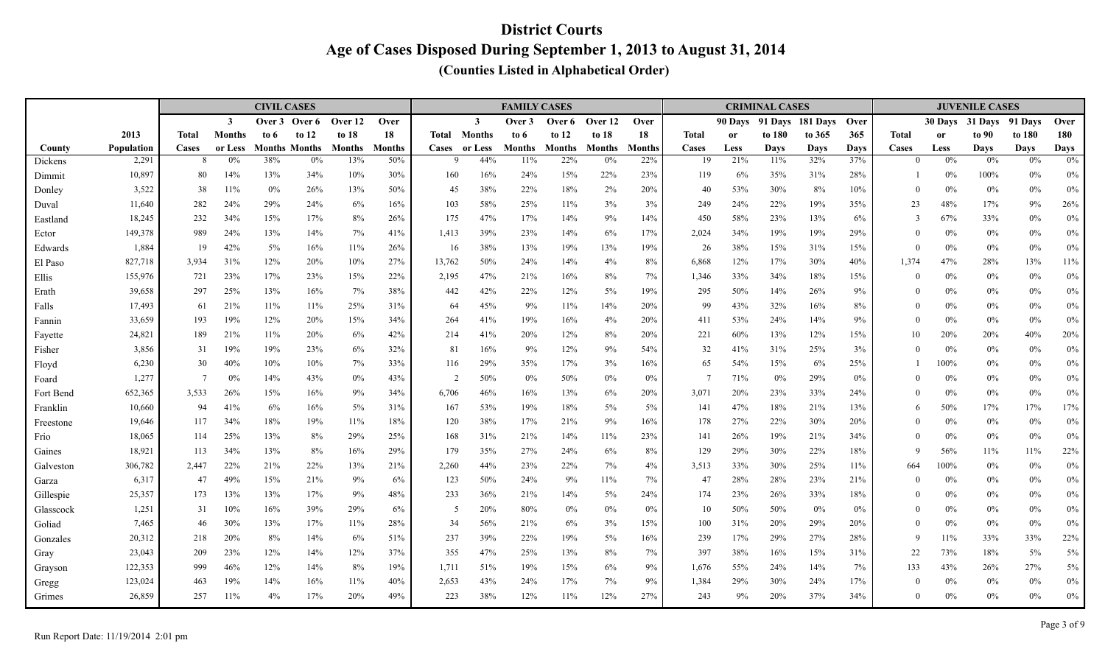|           |            |                |               | <b>CIVIL CASES</b> |                      |         |               |                |               | <b>FAMILY CASES</b> |               |               |               |                |           | <b>CRIMINAL CASES</b> |          |             |              |               | <b>JUVENILE CASES</b> |             |             |
|-----------|------------|----------------|---------------|--------------------|----------------------|---------|---------------|----------------|---------------|---------------------|---------------|---------------|---------------|----------------|-----------|-----------------------|----------|-------------|--------------|---------------|-----------------------|-------------|-------------|
|           |            |                | $\mathbf{3}$  | Over 3             | Over 6               | Over 12 | Over          |                | $\mathbf{3}$  | Over 3              | Over 6        | Over 12       | Over          |                |           | 90 Days 91 Days       | 181 Days | <b>Over</b> |              | 30 Days       | 31 Days               | 91 Days     | Over        |
|           | 2013       | <b>Total</b>   | <b>Months</b> | to 6               | to $12$              | to 18   | 18            | Total          | <b>Months</b> | to 6                | to $12$       | to $18$       | 18            | Total          | <b>or</b> | to 180                | to 365   | 365         | <b>Total</b> | <sub>or</sub> | to 90                 | to 180      | 180         |
| County    | Population | Cases          | or Less       |                    | <b>Months Months</b> | Months  | <b>Months</b> |                | Cases or Less | <b>Months</b>       | <b>Months</b> | <b>Months</b> | <b>Months</b> | Cases          | Less      | Days                  | Days     | <b>Days</b> | Cases        | Less          | <b>Days</b>           | <b>Days</b> | <b>Days</b> |
| Dickens   | 2,291      | 8              | 0%            | 38%                | 0%                   | 13%     | 50%           | 9              | 44%           | 11%                 | 22%           | 0%            | 22%           | 19             | 21%       | 11%                   | 32%      | 37%         | $\Omega$     | 0%            | 0%                    | 0%          | $0\%$       |
| Dimmit    | 10,897     | 80             | 14%           | 13%                | 34%                  | 10%     | 30%           | 160            | 16%           | 24%                 | 15%           | 22%           | 23%           | 119            | 6%        | 35%                   | 31%      | 28%         |              | 0%            | 100%                  | $0\%$       | $0\%$       |
| Donley    | 3,522      | 38             | 11%           | $0\%$              | 26%                  | 13%     | 50%           | 45             | 38%           | 22%                 | 18%           | 2%            | 20%           | 40             | 53%       | 30%                   | 8%       | 10%         | $\theta$     | 0%            | $0\%$                 | 0%          | $0\%$       |
| Duval     | 11,640     | 282            | 24%           | 29%                | 24%                  | 6%      | 16%           | 103            | 58%           | 25%                 | 11%           | 3%            | 3%            | 249            | 24%       | 22%                   | 19%      | 35%         | 23           | 48%           | 17%                   | 9%          | 26%         |
| Eastland  | 18,245     | 232            | 34%           | 15%                | 17%                  | 8%      | 26%           | 175            | 47%           | 17%                 | 14%           | 9%            | 14%           | 450            | 58%       | 23%                   | 13%      | 6%          | 3            | 67%           | 33%                   | 0%          | $0\%$       |
| Ector     | 149,378    | 989            | 24%           | 13%                | 14%                  | 7%      | 41%           | 1,413          | 39%           | 23%                 | 14%           | 6%            | 17%           | 2,024          | 34%       | 19%                   | 19%      | 29%         | $\Omega$     | 0%            | $0\%$                 | $0\%$       | $0\%$       |
| Edwards   | 1,884      | 19             | 42%           | 5%                 | 16%                  | 11%     | 26%           | 16             | 38%           | 13%                 | 19%           | 13%           | 19%           | 26             | 38%       | 15%                   | 31%      | 15%         | $\Omega$     | 0%            | $0\%$                 | 0%          | $0\%$       |
| El Paso   | 827,718    | 3.934          | 31%           | 12%                | 20%                  | 10%     | 27%           | 13,762         | 50%           | 24%                 | 14%           | 4%            | 8%            | 6,868          | 12%       | 17%                   | 30%      | 40%         | 1,374        | 47%           | 28%                   | 13%         | $11\%$      |
| Ellis     | 155,976    | 721            | 23%           | 17%                | 23%                  | 15%     | 22%           | 2,195          | 47%           | 21%                 | 16%           | 8%            | 7%            | 1,346          | 33%       | 34%                   | 18%      | 15%         | $\Omega$     | 0%            | $0\%$                 | $0\%$       | $0\%$       |
| Erath     | 39,658     | 297            | 25%           | 13%                | 16%                  | 7%      | 38%           | 442            | 42%           | 22%                 | 12%           | 5%            | 19%           | 295            | 50%       | 14%                   | 26%      | 9%          | $\theta$     | 0%            | $0\%$                 | $0\%$       | $0\%$       |
| Falls     | 17,493     | 61             | 21%           | 11%                | 11%                  | 25%     | 31%           | 64             | 45%           | 9%                  | 11%           | 14%           | 20%           | 99             | 43%       | 32%                   | 16%      | 8%          | $\theta$     | 0%            | $0\%$                 | 0%          | $0\%$       |
| Fannin    | 33,659     | 193            | 19%           | 12%                | 20%                  | 15%     | 34%           | 264            | 41%           | 19%                 | 16%           | 4%            | 20%           | 411            | 53%       | 24%                   | 14%      | 9%          | $\theta$     | 0%            | $0\%$                 | 0%          | $0\%$       |
| Fayette   | 24,821     | 189            | 21%           | 11%                | 20%                  | 6%      | 42%           | 214            | 41%           | 20%                 | 12%           | 8%            | 20%           | 221            | 60%       | 13%                   | 12%      | 15%         | 10           | 20%           | 20%                   | 40%         | 20%         |
| Fisher    | 3,856      | 31             | 19%           | 19%                | 23%                  | 6%      | 32%           | 81             | 16%           | 9%                  | 12%           | 9%            | 54%           | 32             | 41%       | 31%                   | 25%      | 3%          | $\Omega$     | 0%            | $0\%$                 | 0%          | $0\%$       |
| Floyd     | 6,230      | 30             | 40%           | 10%                | 10%                  | 7%      | 33%           | 116            | 29%           | 35%                 | 17%           | 3%            | 16%           | 65             | 54%       | 15%                   | 6%       | 25%         |              | 100%          | $0\%$                 | 0%          | $0\%$       |
| Foard     | 1,277      | $\overline{7}$ | 0%            | 14%                | 43%                  | 0%      | 43%           | $\overline{2}$ | 50%           | 0%                  | 50%           | $0\%$         | 0%            | $\overline{7}$ | 71%       | $0\%$                 | 29%      | 0%          | $\theta$     | 0%            | $0\%$                 | $0\%$       | $0\%$       |
| Fort Bend | 652,365    | 3,533          | 26%           | 15%                | 16%                  | 9%      | 34%           | 6,706          | 46%           | 16%                 | 13%           | 6%            | 20%           | 3,071          | 20%       | 23%                   | 33%      | 24%         | $\theta$     | 0%            | $0\%$                 | $0\%$       | $0\%$       |
| Franklin  | 10,660     | 94             | 41%           | 6%                 | 16%                  | 5%      | 31%           | 167            | 53%           | 19%                 | 18%           | 5%            | 5%            | 141            | 47%       | 18%                   | 21%      | 13%         | 6            | 50%           | 17%                   | 17%         | 17%         |
| Freestone | 19,646     | 117            | 34%           | 18%                | 19%                  | 11%     | 18%           | 120            | 38%           | 17%                 | 21%           | 9%            | 16%           | 178            | 27%       | 22%                   | 30%      | 20%         | $\Omega$     | 0%            | $0\%$                 | $0\%$       | $0\%$       |
| Frio      | 18,065     | 114            | 25%           | 13%                | 8%                   | 29%     | 25%           | 168            | 31%           | 21%                 | 14%           | 11%           | 23%           | 141            | 26%       | 19%                   | 21%      | 34%         | $\theta$     | 0%            | $0\%$                 | $0\%$       | 0%          |
| Gaines    | 18,921     | 113            | 34%           | 13%                | 8%                   | 16%     | 29%           | 179            | 35%           | 27%                 | 24%           | 6%            | 8%            | 129            | 29%       | 30%                   | 22%      | 18%         | 9            | 56%           | 11%                   | 11%         | 22%         |
| Galveston | 306,782    | 2,447          | 22%           | 21%                | 22%                  | 13%     | 21%           | 2,260          | 44%           | 23%                 | 22%           | 7%            | 4%            | 3,513          | 33%       | 30%                   | 25%      | 11%         | 664          | 100%          | $0\%$                 | $0\%$       | $0\%$       |
| Garza     | 6,317      | 47             | 49%           | 15%                | 21%                  | 9%      | 6%            | 123            | 50%           | 24%                 | 9%            | 11%           | 7%            | 47             | 28%       | 28%                   | 23%      | 21%         | $\Omega$     | 0%            | $0\%$                 | $0\%$       | $0\%$       |
| Gillespie | 25,357     | 173            | 13%           | 13%                | 17%                  | 9%      | 48%           | 233            | 36%           | 21%                 | 14%           | 5%            | 24%           | 174            | 23%       | 26%                   | 33%      | 18%         | $\theta$     | 0%            | $0\%$                 | $0\%$       | $0\%$       |
| Glasscock | 1,251      | 31             | 10%           | 16%                | 39%                  | 29%     | 6%            | 5              | 20%           | 80%                 | $0\%$         | $0\%$         | 0%            | 10             | 50%       | 50%                   | $0\%$    | 0%          | $\theta$     | 0%            | $0\%$                 | $0\%$       | $0\%$       |
| Goliad    | 7,465      | 46             | 30%           | 13%                | 17%                  | 11%     | 28%           | 34             | 56%           | 21%                 | 6%            | 3%            | 15%           | 100            | 31%       | 20%                   | 29%      | 20%         | $\Omega$     | 0%            | $0\%$                 | $0\%$       | $0\%$       |
| Gonzales  | 20,312     | 218            | 20%           | 8%                 | 14%                  | 6%      | 51%           | 237            | 39%           | 22%                 | 19%           | 5%            | 16%           | 239            | 17%       | 29%                   | 27%      | 28%         | 9            | 11%           | 33%                   | 33%         | 22%         |
| Gray      | 23,043     | 209            | 23%           | 12%                | 14%                  | 12%     | 37%           | 355            | 47%           | 25%                 | 13%           | 8%            | 7%            | 397            | 38%       | 16%                   | 15%      | 31%         | 22           | 73%           | $18\%$                | 5%          | 5%          |
| Grayson   | 122,353    | 999            | 46%           | 12%                | 14%                  | 8%      | 19%           | 1,711          | 51%           | 19%                 | 15%           | 6%            | 9%            | 1,676          | 55%       | 24%                   | 14%      | 7%          | 133          | 43%           | 26%                   | 27%         | $5\%$       |
| Gregg     | 123,024    | 463            | 19%           | 14%                | 16%                  | 11%     | 40%           | 2,653          | 43%           | 24%                 | 17%           | 7%            | 9%            | 1,384          | 29%       | 30%                   | 24%      | 17%         | $\Omega$     | 0%            | $0\%$                 | 0%          | $0\%$       |
| Grimes    | 26,859     | 257            | 11%           | 4%                 | 17%                  | 20%     | 49%           | 223            | 38%           | 12%                 | 11%           | 12%           | 27%           | 243            | 9%        | 20%                   | 37%      | 34%         | $\Omega$     | 0%            | $0\%$                 | $0\%$       | $0\%$       |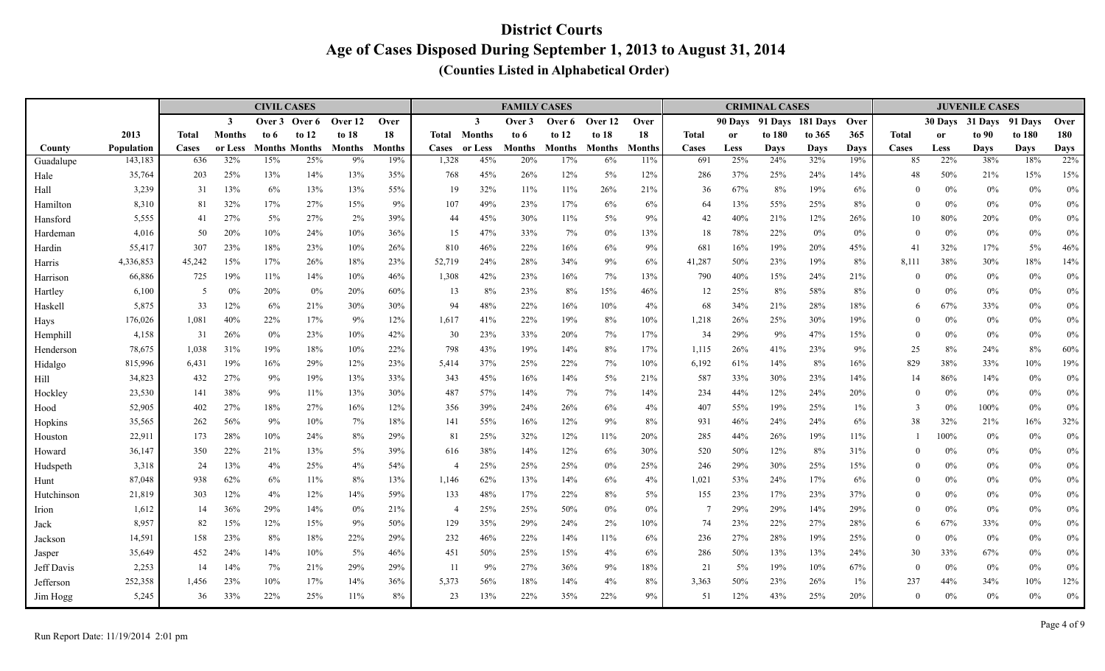|                  |                |              |               | <b>CIVIL CASES</b> |                      |               |               |                |               | <b>FAMILY CASES</b> |               |               |           |                |            | <b>CRIMINAL CASES</b> |                  |             |                      |               | <b>JUVENILE CASES</b> |                |                    |
|------------------|----------------|--------------|---------------|--------------------|----------------------|---------------|---------------|----------------|---------------|---------------------|---------------|---------------|-----------|----------------|------------|-----------------------|------------------|-------------|----------------------|---------------|-----------------------|----------------|--------------------|
|                  |                |              | $\mathbf{3}$  | Over 3             | Over 6               | Over 12       | Over          |                | $\mathbf{3}$  | Over 3              | Over 6        | Over 12       | Over      |                | 90 Days    |                       | 91 Davs 181 Davs | Over        |                      | 30 Days       | 31 Days               | 91 Davs        | Over               |
|                  | 2013           | <b>Total</b> | <b>Months</b> | to 6               | to $12$              | to 18         | 18            | Total          | <b>Months</b> | to 6                | to $12$       | to $18$       | 18        | <b>Total</b>   | <b>or</b>  | to 180                | to 365           | 365         | <b>Total</b>         | <sub>or</sub> | to 90                 | to 180         | 180                |
| County           | Population     | Cases        | or Less       |                    | <b>Months Months</b> | <b>Months</b> | <b>Months</b> | <b>Cases</b>   | or Less       | Months              | <b>Months</b> | <b>Months</b> | Months    | Cases          | Less       | <b>Days</b>           | <b>Days</b>      | <b>Days</b> | Cases                | Less          | <b>Days</b>           | <b>Days</b>    | <b>Days</b><br>22% |
| Guadalupe        | 143,183        | 636          | 32%           | 15%                | 25%                  | 9%            | 19%           | 1,328          | 45%           | 20%                 | 17%           | 6%            | 11%       | 691            | 25%        | 24%                   | 32%              | 19%         | 85                   | 22%           | 38%                   | 18%            |                    |
| Hale             | 35,764         | 203          | 25%<br>13%    | 13%<br>6%          | 14%                  | 13%<br>13%    | 35%           | 768            | 45%<br>32%    | 26%                 | 12%           | 5%<br>26%     | 12%       | 286            | 37%<br>67% | 25%<br>8%             | 24%<br>19%       | 14%         | 48                   | 50%<br>$0\%$  | 21%                   | 15%            | 15%                |
| Hall<br>Hamilton | 3,239<br>8,310 | 31<br>81     | 32%           | 17%                | 13%<br>27%           | 15%           | 55%<br>9%     | 19<br>107      | 49%           | 11%<br>23%          | 11%<br>17%    | 6%            | 21%<br>6% | 36<br>64       | 13%        | 55%                   | 25%              | 6%<br>8%    | $\theta$<br>$\theta$ | 0%            | $0\%$<br>$0\%$        | $0\%$<br>$0\%$ | $0\%$<br>$0\%$     |
| Hansford         | 5,555          | 41           | 27%           | 5%                 | 27%                  | 2%            | 39%           | 44             | 45%           | 30%                 | 11%           | $5\%$         | 9%        | 42             | 40%        | 21%                   | 12%              | 26%         | 10                   | 80%           | 20%                   | $0\%$          | $0\%$              |
| Hardeman         | 4,016          | 50           | 20%           | 10%                | 24%                  | 10%           | 36%           | 15             | 47%           | 33%                 | 7%            | $0\%$         | 13%       | 18             | 78%        | 22%                   | 0%               | 0%          | $\Omega$             | 0%            | $0\%$                 | $0\%$          | $0\%$              |
| Hardin           | 55,417         | 307          | 23%           | 18%                | 23%                  | 10%           | 26%           | 810            | 46%           | 22%                 | 16%           | 6%            | 9%        | 681            | 16%        | 19%                   | 20%              | 45%         | 41                   | 32%           | 17%                   | $5\%$          | $46\%$             |
| Harris           | 4,336,853      | 45,242       | 15%           | 17%                | 26%                  | 18%           | 23%           | 52,719         | 24%           | 28%                 | 34%           | 9%            | 6%        | 41,287         | 50%        | 23%                   | 19%              | 8%          | 8,111                | 38%           | 30%                   | 18%            | $14\%$             |
| Harrison         | 66,886         | 725          | 19%           | 11%                | 14%                  | 10%           | 46%           | 1,308          | 42%           | 23%                 | 16%           | 7%            | 13%       | 790            | 40%        | 15%                   | 24%              | 21%         | $\theta$             | $0\%$         | $0\%$                 | $0\%$          | $0\%$              |
| Hartley          | 6,100          | -5           | 0%            | 20%                | $0\%$                | 20%           | 60%           | 13             | 8%            | 23%                 | 8%            | 15%           | 46%       | 12             | 25%        | 8%                    | 58%              | 8%          | $\theta$             | 0%            | $0\%$                 | $0\%$          | $0\%$              |
| Haskell          | 5,875          | 33           | 12%           | 6%                 | 21%                  | 30%           | 30%           | 94             | 48%           | 22%                 | 16%           | 10%           | 4%        | 68             | 34%        | 21%                   | 28%              | 18%         | 6                    | 67%           | 33%                   | $0\%$          | $0\%$              |
| Hays             | 176,026        | 1,081        | 40%           | 22%                | 17%                  | 9%            | 12%           | 1,617          | 41%           | 22%                 | 19%           | 8%            | 10%       | 1,218          | 26%        | 25%                   | 30%              | 19%         | $\left($             | $0\%$         | $0\%$                 | $0\%$          | $0\%$              |
| Hemphill         | 4,158          | 31           | 26%           | $0\%$              | 23%                  | 10%           | 42%           | 30             | 23%           | 33%                 | 20%           | 7%            | 17%       | 34             | 29%        | 9%                    | 47%              | 15%         | $\mathbf{0}$         | $0\%$         | $0\%$                 | $0\%$          | $0\%$              |
| Henderson        | 78,675         | 1,038        | 31%           | 19%                | 18%                  | 10%           | 22%           | 798            | 43%           | 19%                 | 14%           | 8%            | 17%       | 1,115          | 26%        | 41%                   | 23%              | 9%          | 25                   | 8%            | 24%                   | 8%             | 60%                |
| Hidalgo          | 815,996        | 6,431        | 19%           | 16%                | 29%                  | 12%           | 23%           | 5,414          | 37%           | 25%                 | 22%           | 7%            | 10%       | 6,192          | 61%        | 14%                   | 8%               | 16%         | 829                  | 38%           | 33%                   | 10%            | 19%                |
| Hill             | 34,823         | 432          | 27%           | 9%                 | 19%                  | 13%           | 33%           | 343            | 45%           | 16%                 | 14%           | $5\%$         | 21%       | 587            | 33%        | 30%                   | 23%              | 14%         | 14                   | 86%           | 14%                   | $0\%$          | $0\%$              |
| Hockley          | 23,530         | 141          | 38%           | 9%                 | 11%                  | 13%           | 30%           | 487            | 57%           | 14%                 | 7%            | 7%            | 14%       | 234            | 44%        | 12%                   | 24%              | 20%         | $\Omega$             | $0\%$         | $0\%$                 | $0\%$          | $0\%$              |
| Hood             | 52,905         | 402          | 27%           | 18%                | 27%                  | 16%           | 12%           | 356            | 39%           | 24%                 | 26%           | 6%            | 4%        | 407            | 55%        | 19%                   | 25%              | $1\%$       | 3                    | 0%            | 100%                  | $0\%$          | $0\%$              |
| Hopkins          | 35,565         | 262          | 56%           | 9%                 | 10%                  | 7%            | 18%           | 141            | 55%           | 16%                 | 12%           | 9%            | 8%        | 931            | 46%        | 24%                   | 24%              | 6%          | 38                   | 32%           | 21%                   | 16%            | 32%                |
| Houston          | 22,911         | 173          | 28%           | 10%                | 24%                  | 8%            | 29%           | 81             | 25%           | 32%                 | 12%           | 11%           | 20%       | 285            | 44%        | 26%                   | 19%              | 11%         |                      | 100%          | $0\%$                 | $0\%$          | $0\%$              |
| Howard           | 36,147         | 350          | 22%           | 21%                | 13%                  | 5%            | 39%           | 616            | 38%           | 14%                 | 12%           | 6%            | 30%       | 520            | 50%        | 12%                   | 8%               | 31%         | $\theta$             | $0\%$         | $0\%$                 | $0\%$          | $0\%$              |
| Hudspeth         | 3,318          | 24           | 13%           | 4%                 | 25%                  | 4%            | 54%           | $\overline{4}$ | 25%           | 25%                 | 25%           | $0\%$         | 25%       | 246            | 29%        | 30%                   | 25%              | 15%         | $\Omega$             | $0\%$         | $0\%$                 | $0\%$          | $0\%$              |
| Hunt             | 87,048         | 938          | 62%           | 6%                 | 11%                  | 8%            | 13%           | 1,146          | 62%           | 13%                 | 14%           | 6%            | 4%        | 1,021          | 53%        | 24%                   | 17%              | 6%          | $\theta$             | $0\%$         | $0\%$                 | $0\%$          | $0\%$              |
| Hutchinson       | 21,819         | 303          | 12%           | 4%                 | 12%                  | 14%           | 59%           | 133            | 48%           | 17%                 | 22%           | 8%            | 5%        | 155            | 23%        | 17%                   | 23%              | 37%         | $\Omega$             | $0\%$         | $0\%$                 | $0\%$          | $0\%$              |
| Irion            | 1,612          | 14           | 36%           | 29%                | 14%                  | 0%            | 21%           | $\overline{4}$ | 25%           | 25%                 | 50%           | $0\%$         | 0%        | $\overline{7}$ | 29%        | 29%                   | 14%              | 29%         | $\theta$             | 0%            | $0\%$                 | $0\%$          | $0\%$              |
| Jack             | 8,957          | 82           | 15%           | 12%                | 15%                  | 9%            | 50%           | 129            | 35%           | 29%                 | 24%           | 2%            | 10%       | 74             | 23%        | 22%                   | 27%              | 28%         | 6                    | 67%           | 33%                   | $0\%$          | $0\%$              |
| Jackson          | 14,591         | 158          | 23%           | 8%                 | 18%                  | 22%           | 29%           | 232            | 46%           | 22%                 | 14%           | $11\%$        | 6%        | 236            | 27%        | 28%                   | 19%              | 25%         | $\theta$             | $0\%$         | $0\%$                 | $0\%$          | $0\%$              |
| Jasper           | 35,649         | 452          | 24%           | 14%                | 10%                  | 5%            | 46%           | 451            | 50%           | 25%                 | 15%           | 4%            | 6%        | 286            | 50%        | 13%                   | 13%              | 24%         | 30                   | 33%           | 67%                   | 0%             | $0\%$              |
| Jeff Davis       | 2,253          | 14           | 14%           | 7%                 | 21%                  | 29%           | 29%           | -11            | 9%            | 27%                 | 36%           | 9%            | 18%       | 21             | 5%         | 19%                   | 10%              | 67%         | $\mathbf{0}$         | $0\%$         | $0\%$                 | $0\%$          | $0\%$              |
| Jefferson        | 252,358        | 1,456        | 23%           | 10%                | 17%                  | 14%           | 36%           | 5,373          | 56%           | 18%                 | 14%           | 4%            | 8%        | 3,363          | 50%        | 23%                   | 26%              | $1\%$       | 237                  | 44%           | 34%                   | 10%            | $12\%$             |
| Jim Hogg         | 5,245          | 36           | 33%           | 22%                | 25%                  | 11%           | 8%            | 23             | 13%           | 22%                 | 35%           | 22%           | 9%        | 51             | 12%        | 43%                   | 25%              | 20%         | $\Omega$             | $0\%$         | $0\%$                 | $0\%$          | $0\%$              |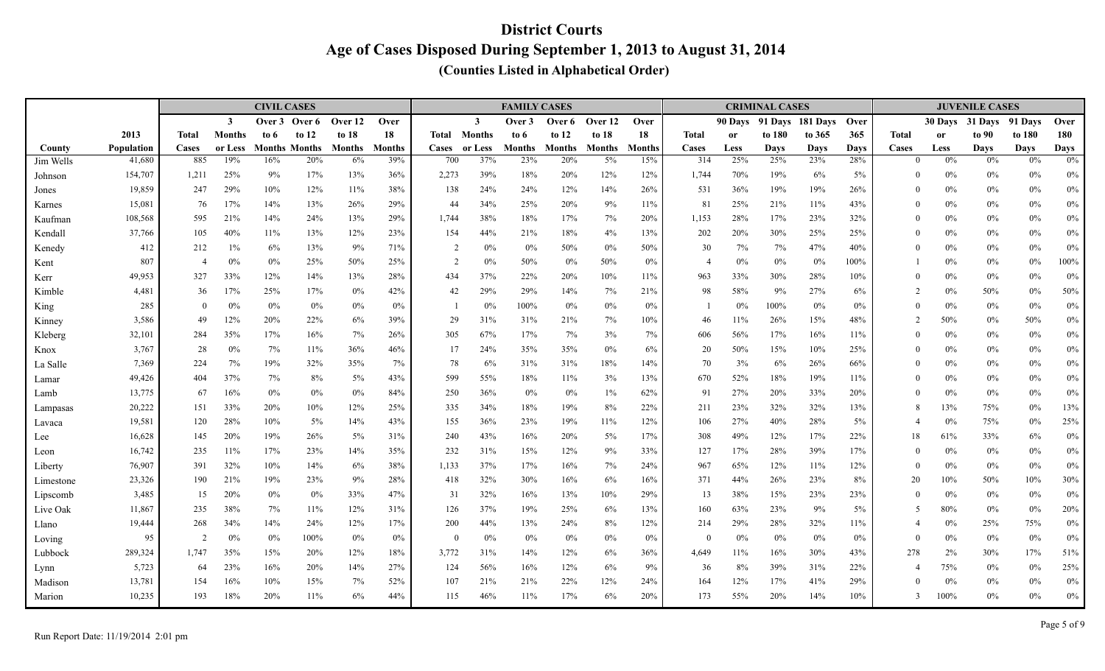|                 |                   |                |                | <b>CIVIL CASES</b> |                             |           |               |                     |                | <b>FAMILY CASES</b>  |               |                        |               |                |             | <b>CRIMINAL CASES</b> |                    |             |                   |               | <b>JUVENILE CASES</b> |                   |                      |
|-----------------|-------------------|----------------|----------------|--------------------|-----------------------------|-----------|---------------|---------------------|----------------|----------------------|---------------|------------------------|---------------|----------------|-------------|-----------------------|--------------------|-------------|-------------------|---------------|-----------------------|-------------------|----------------------|
|                 |                   |                | $\mathbf{3}$   | Over 3             | Over 6                      | Over 12   | Over          |                     | $\mathbf{3}$   | Over 3               | Over 6        | Over 12                | Over          |                | 90 Davs     | 91 Days               | 181 Days           | Over        |                   | 30 Days       | 31 Days               | 91 Days           | Over                 |
|                 | 2013              | <b>Total</b>   | <b>Months</b>  | to 6               | to $12$                     | to 18     | 18            | Total               | <b>Months</b>  | to 6                 | to $12$       | to $18$                | 18            | <b>Total</b>   | <b>or</b>   | to 180                | to 365             | 365         | <b>Total</b>      | <sub>or</sub> | to 90                 | to 180            | 180                  |
| County          | <b>Population</b> | Cases          | or Less<br>19% | 16%                | <b>Months Months</b><br>20% | Months    | <b>Months</b> | <b>Cases</b><br>700 | or Less<br>37% | <b>Months</b><br>23% | Months<br>20% | <b>Months</b><br>$5\%$ | <b>Months</b> | Cases<br>314   | Less<br>25% | Davs<br>25%           | <b>Days</b><br>23% | Days<br>28% | Cases<br>$\theta$ | Less<br>$0\%$ | <b>Days</b><br>$0\%$  | <b>Days</b><br>0% | <b>Days</b><br>$0\%$ |
| Jim Wells       | 41,680            | 885            | 25%            | 9%                 | 17%                         | 6%<br>13% | 39%           | 2,273               | 39%            | 18%                  |               |                        | 15%           | 1,744          |             | 19%                   |                    | 5%          | $\theta$          | $0\%$         |                       |                   |                      |
| Johnson         | 154,707<br>19,859 | 1,211<br>247   | 29%            | 10%                | 12%                         | 11%       | 36%<br>38%    | 138                 | 24%            | 24%                  | 20%<br>12%    | 12%<br>14%             | 12%<br>26%    | 531            | 70%<br>36%  | 19%                   | 6%<br>19%          | 26%         | $\theta$          | $0\%$         | $0\%$<br>$0\%$        | 0%<br>0%          | $0\%$<br>$0\%$       |
| Jones<br>Karnes | 15,081            | 76             | 17%            | 14%                | 13%                         | 26%       | 29%           | 44                  | 34%            | 25%                  | 20%           | 9%                     | 11%           | 81             | 25%         | 21%                   | 11%                | 43%         | $\theta$          | $0\%$         | $0\%$                 | $0\%$             | $0\%$                |
| Kaufman         | 108,568           | 595            | 21%            | 14%                | 24%                         | 13%       | 29%           | 1,744               | 38%            | 18%                  | 17%           | 7%                     | 20%           | 1,153          | 28%         | 17%                   | 23%                | 32%         | $\Omega$          | $0\%$         | $0\%$                 | $0\%$             | $0\%$                |
| Kendall         | 37,766            | 105            | 40%            | 11%                | 13%                         | 12%       | 23%           | 154                 | 44%            | 21%                  | 18%           | 4%                     | 13%           | 202            | 20%         | 30%                   | 25%                | 25%         | $\theta$          | $0\%$         | $0\%$                 | $0\%$             | $0\%$                |
| Kenedy          | 412               | 212            | $1\%$          | 6%                 | 13%                         | 9%        | 71%           | 2                   | $0\%$          | 0%                   | 50%           | $0\%$                  | 50%           | 30             | 7%          | 7%                    | 47%                | 40%         | $\Omega$          | $0\%$         | $0\%$                 | 0%                | $0\%$                |
| Kent            | 807               | $\overline{4}$ | 0%             | 0%                 | 25%                         | 50%       | 25%           | $\overline{2}$      | $0\%$          | 50%                  | 0%            | 50%                    | 0%            | $\overline{4}$ | 0%          | $0\%$                 | 0%                 | 100%        |                   | $0\%$         | $0\%$                 | $0\%$             | $100\%$              |
| Kerr            | 49,953            | 327            | 33%            | 12%                | 14%                         | 13%       | 28%           | 434                 | 37%            | 22%                  | 20%           | 10%                    | 11%           | 963            | 33%         | 30%                   | 28%                | 10%         | $\theta$          | $0\%$         | $0\%$                 | $0\%$             | $0\%$                |
| Kimble          | 4,481             | 36             | 17%            | 25%                | 17%                         | 0%        | 42%           | 42                  | 29%            | 29%                  | 14%           | 7%                     | 21%           | 98             | 58%         | 9%                    | 27%                | 6%          | $\overline{2}$    | 0%            | $50\%$                | $0\%$             | 50%                  |
| King            | 285               | $\overline{0}$ | 0%             | $0\%$              | $0\%$                       | $0\%$     | 0%            | $\overline{1}$      | $0\%$          | 100%                 | $0\%$         | $0\%$                  | 0%            |                | 0%          | 100%                  | $0\%$              | 0%          | $\theta$          | $0\%$         | $0\%$                 | $0\%$             | $0\%$                |
| Kinney          | 3,586             | 49             | 12%            | 20%                | 22%                         | 6%        | 39%           | 29                  | 31%            | 31%                  | 21%           | 7%                     | 10%           | 46             | 11%         | 26%                   | 15%                | 48%         | 2                 | 50%           | $0\%$                 | 50%               | $0\%$                |
| Kleberg         | 32,101            | 284            | 35%            | 17%                | 16%                         | 7%        | 26%           | 305                 | 67%            | 17%                  | 7%            | 3%                     | 7%            | 606            | 56%         | 17%                   | 16%                | 11%         | $\theta$          | $0\%$         | $0\%$                 | $0\%$             | $0\%$                |
| Knox            | 3,767             | 28             | 0%             | 7%                 | 11%                         | 36%       | 46%           | 17                  | 24%            | 35%                  | 35%           | $0\%$                  | 6%            | 20             | 50%         | 15%                   | 10%                | 25%         | $\theta$          | $0\%$         | $0\%$                 | $0\%$             | $0\%$                |
| La Salle        | 7,369             | 224            | 7%             | 19%                | 32%                         | 35%       | 7%            | 78                  | 6%             | 31%                  | 31%           | 18%                    | 14%           | 70             | 3%          | 6%                    | 26%                | 66%         | $\Omega$          | $0\%$         | $0\%$                 | 0%                | $0\%$                |
| Lamar           | 49,426            | 404            | 37%            | 7%                 | 8%                          | 5%        | 43%           | 599                 | 55%            | 18%                  | 11%           | 3%                     | 13%           | 670            | 52%         | 18%                   | 19%                | 11%         | $\theta$          | $0\%$         | $0\%$                 | $0\%$             | $0\%$                |
| Lamb            | 13,775            | 67             | 16%            | $0\%$              | $0\%$                       | 0%        | 84%           | 250                 | 36%            | 0%                   | 0%            | $1\%$                  | 62%           | 91             | 27%         | 20%                   | 33%                | 20%         | $\Omega$          | 0%            | $0\%$                 | $0\%$             | $0\%$                |
| Lampasas        | 20,222            | 151            | 33%            | 20%                | 10%                         | 12%       | 25%           | 335                 | 34%            | 18%                  | 19%           | 8%                     | 22%           | 211            | 23%         | 32%                   | 32%                | 13%         | 8                 | 13%           | 75%                   | $0\%$             | $13\%$               |
| Lavaca          | 19,581            | 120            | 28%            | 10%                | $5\%$                       | 14%       | 43%           | 155                 | 36%            | 23%                  | 19%           | 11%                    | 12%           | 106            | 27%         | 40%                   | 28%                | 5%          | $\overline{4}$    | $0\%$         | 75%                   | $0\%$             | 25%                  |
| Lee             | 16,628            | 145            | 20%            | 19%                | 26%                         | 5%        | 31%           | 240                 | 43%            | 16%                  | 20%           | 5%                     | 17%           | 308            | 49%         | 12%                   | 17%                | 22%         | 18                | 61%           | 33%                   | 6%                | $0\%$                |
| Leon            | 16,742            | 235            | 11%            | 17%                | 23%                         | 14%       | 35%           | 232                 | 31%            | 15%                  | 12%           | 9%                     | 33%           | 127            | 17%         | 28%                   | 39%                | 17%         | $\theta$          | $0\%$         | $0\%$                 | $0\%$             | $0\%$                |
| Liberty         | 76,907            | 391            | 32%            | 10%                | 14%                         | 6%        | 38%           | 1,133               | 37%            | 17%                  | 16%           | 7%                     | 24%           | 967            | 65%         | 12%                   | 11%                | 12%         | $\theta$          | 0%            | $0\%$                 | $0\%$             | $0\%$                |
| Limestone       | 23,326            | 190            | 21%            | 19%                | 23%                         | 9%        | 28%           | 418                 | 32%            | 30%                  | 16%           | 6%                     | 16%           | 371            | 44%         | 26%                   | 23%                | 8%          | 20                | 10%           | 50%                   | 10%               | 30%                  |
| Lipscomb        | 3,485             | 15             | 20%            | $0\%$              | $0\%$                       | 33%       | 47%           | 31                  | 32%            | 16%                  | 13%           | 10%                    | 29%           | 13             | 38%         | 15%                   | 23%                | 23%         | $\theta$          | $0\%$         | $0\%$                 | $0\%$             | $0\%$                |
| Live Oak        | 11,867            | 235            | 38%            | 7%                 | 11%                         | 12%       | 31%           | 126                 | 37%            | 19%                  | 25%           | 6%                     | 13%           | 160            | 63%         | 23%                   | 9%                 | 5%          | 5                 | 80%           | $0\%$                 | $0\%$             | 20%                  |
| Llano           | 19,444            | 268            | 34%            | 14%                | 24%                         | 12%       | 17%           | 200                 | 44%            | 13%                  | 24%           | 8%                     | 12%           | 214            | 29%         | $28\%$                | 32%                | 11%         | $\overline{4}$    | $0\%$         | 25%                   | 75%               | $0\%$                |
| Loving          | 95                | $\overline{2}$ | 0%             | $0\%$              | 100%                        | 0%        | $0\%$         | $\theta$            | $0\%$          | 0%                   | 0%            | $0\%$                  | 0%            | $\Omega$       | $0\%$       | $0\%$                 | $0\%$              | 0%          | $\theta$          | $0\%$         | $0\%$                 | 0%                | $0\%$                |
| Lubbock         | 289,324           | 1,747          | 35%            | 15%                | 20%                         | 12%       | 18%           | 3,772               | 31%            | 14%                  | 12%           | 6%                     | 36%           | 4,649          | 11%         | 16%                   | 30%                | 43%         | 278               | $2\%$         | 30%                   | 17%               | 51%                  |
| Lynn            | 5,723             | 64             | 23%            | 16%                | 20%                         | 14%       | 27%           | 124                 | 56%            | 16%                  | 12%           | 6%                     | 9%            | 36             | 8%          | 39%                   | 31%                | 22%         | $\overline{4}$    | 75%           | $0\%$                 | $0\%$             | 25%                  |
| Madison         | 13,781            | 154            | 16%            | 10%                | 15%                         | 7%        | 52%           | 107                 | 21%            | 21%                  | 22%           | 12%                    | 24%           | 164            | 12%         | 17%                   | 41%                | 29%         | $\Omega$          | $0\%$         | $0\%$                 | $0\%$             | $0\%$                |
| Marion          | 10,235            | 193            | 18%            | 20%                | 11%                         | 6%        | 44%           | 115                 | 46%            | 11%                  | 17%           | 6%                     | 20%           | 173            | 55%         | 20%                   | 14%                | 10%         | 3                 | 100%          | $0\%$                 | $0\%$             | $0\%$                |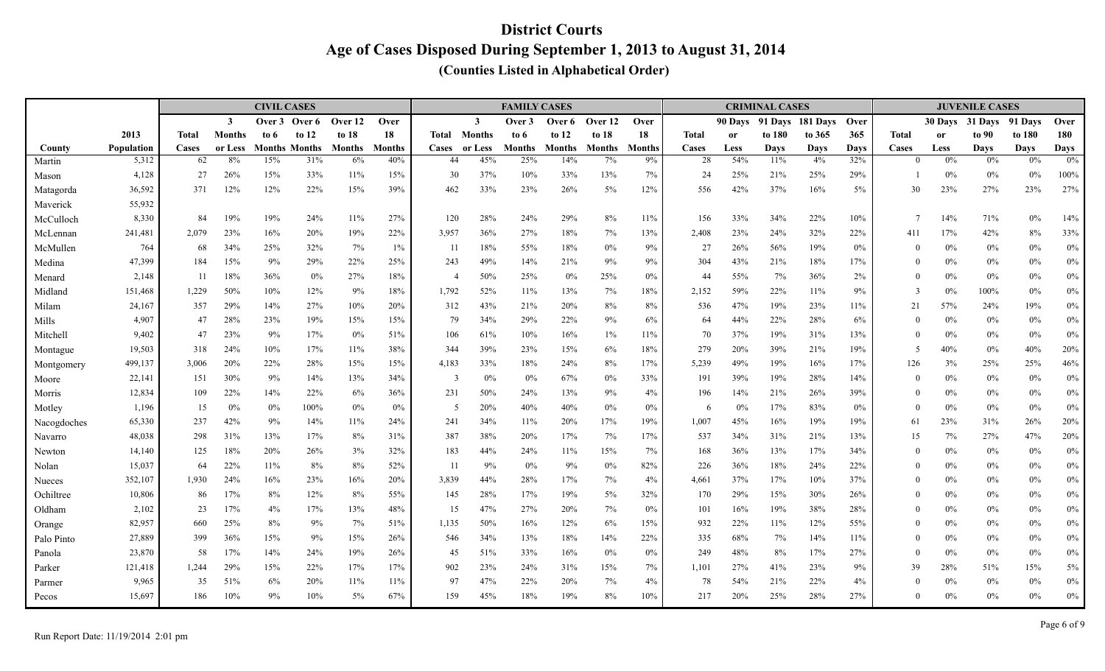|                      |                   |              |                         | <b>CIVIL CASES</b> |                      |         |               |                     |              | <b>FAMILY CASES</b> |         |         |               |              |               | <b>CRIMINAL CASES</b> |             |             |                  |               | <b>JUVENILE CASES</b> |             |             |
|----------------------|-------------------|--------------|-------------------------|--------------------|----------------------|---------|---------------|---------------------|--------------|---------------------|---------|---------|---------------|--------------|---------------|-----------------------|-------------|-------------|------------------|---------------|-----------------------|-------------|-------------|
|                      |                   |              | $\overline{\mathbf{3}}$ |                    | Over 3 Over 6        | Over 12 | Over          |                     | $\mathbf{3}$ | Over 3              | Over 6  | Over 12 | Over          |              | 90 Days       | 91 Davs               | 181 Davs    | <b>Over</b> |                  | 30 Davs       | 31 Davs               | 91 Davs     | Over        |
|                      | 2013              | <b>Total</b> | <b>Months</b>           | to 6               | to $12$              | to 18   | 18            | <b>Total Months</b> |              | to 6                | to $12$ | to $18$ | 18            | <b>Total</b> | <sub>or</sub> | to 180                | to 365      | 365         | <b>Total</b>     | <sub>or</sub> | to 90                 | to 180      | 180         |
| County               | <b>Population</b> | Cases        | or Less                 |                    | <b>Months Months</b> | Months  | <b>Months</b> | Cases               | or Less      | Months              | Months  | Months  | <b>Months</b> | Cases        | Less          | Days                  | <b>Days</b> | Days        | Cases            | Less          | <b>Days</b>           | <b>Days</b> | <b>Days</b> |
| Martin               | 5,312             | 62           | 8%                      | 15%                | 31%                  | 6%      | 40%           | 44                  | 45%          | 25%                 | 14%     | $7\%$   | 9%            | 28           | 54%           | 11%                   | 4%          | 32%         | $\theta$         | $0\%$         | $0\%$                 | 0%          | 0%          |
| Mason                | 4,128             | 27           | 26%                     | 15%                | 33%                  | 11%     | 15%           | 30                  | 37%          | 10%                 | 33%     | 13%     | 7%            | 24           | 25%           | 21%                   | 25%         | 29%         |                  | $0\%$         | $0\%$                 | $0\%$       | 100%        |
| Matagorda            | 36,592            | 371          | 12%                     | 12%                | 22%                  | 15%     | 39%           | 462                 | 33%          | 23%                 | 26%     | $5\%$   | 12%           | 556          | 42%           | 37%                   | 16%         | 5%          | 30               | 23%           | 27%                   | 23%         | 27%         |
| Maverick             | 55,932<br>8,330   | 84           | 19%                     | 19%                | 24%                  | 11%     | 27%           | 120                 | 28%          | 24%                 | 29%     | 8%      | 11%           | 156          | 33%           | 34%                   | 22%         | 10%         | $\overline{7}$   | 14%           | 71%                   | $0\%$       | 14%         |
| McCulloch            | 241,481           | 2,079        | 23%                     | 16%                | 20%                  | 19%     | 22%           | 3,957               | 36%          | 27%                 | 18%     | 7%      | 13%           | 2,408        | 23%           | 24%                   | 32%         | 22%         | 411              | 17%           | 42%                   | 8%          | 33%         |
| McLennan<br>McMullen | 764               | 68           | 34%                     | 25%                | 32%                  | 7%      | $1\%$         | -11                 | 18%          | 55%                 | 18%     | 0%      | 9%            | 27           | 26%           | 56%                   | 19%         | 0%          | $\theta$         | $0\%$         | $0\%$                 | $0\%$       | $0\%$       |
|                      | 47,399            | 184          | 15%                     | 9%                 | 29%                  | 22%     | 25%           | 243                 | 49%          | 14%                 | 21%     | 9%      | 9%            | 304          | 43%           | 21%                   | 18%         | 17%         | $\theta$         | $0\%$         | $0\%$                 | 0%          | $0\%$       |
| Medina               | 2,148             | 11           | 18%                     | 36%                | $0\%$                | 27%     | 18%           | $\overline{4}$      | 50%          | 25%                 | $0\%$   | 25%     | 0%            | 44           | 55%           | 7%                    | 36%         | 2%          | $\theta$         | $0\%$         | $0\%$                 | $0\%$       | $0\%$       |
| Menard<br>Midland    | 151,468           | 1,229        | 50%                     | 10%                | 12%                  | 9%      | 18%           | 1,792               | 52%          | 11%                 | 13%     | 7%      | 18%           | 2,152        | 59%           | 22%                   | 11%         | 9%          | 3                | 0%            | 100%                  | $0\%$       | $0\%$       |
| Milam                | 24,167            | 357          | 29%                     | 14%                | 27%                  | 10%     | 20%           | 312                 | 43%          | 21%                 | 20%     | 8%      | 8%            | 536          | 47%           | 19%                   | 23%         | 11%         | 21               | 57%           | 24%                   | 19%         | $0\%$       |
| Mills                | 4,907             | 47           | 28%                     | 23%                | 19%                  | 15%     | 15%           | 79                  | 34%          | 29%                 | 22%     | 9%      | 6%            | 64           | 44%           | 22%                   | 28%         | 6%          | $\boldsymbol{0}$ | $0\%$         | $0\%$                 | $0\%$       | $0\%$       |
| Mitchell             | 9,402             | 47           | 23%                     | 9%                 | 17%                  | 0%      | 51%           | 106                 | 61%          | 10%                 | 16%     | $1\%$   | 11%           | 70           | 37%           | 19%                   | 31%         | 13%         | $\theta$         | $0\%$         | $0\%$                 | 0%          | $0\%$       |
| Montague             | 19,503            | 318          | 24%                     | 10%                | 17%                  | 11%     | 38%           | 344                 | 39%          | 23%                 | 15%     | 6%      | $18\%$        | 279          | 20%           | 39%                   | 21%         | 19%         | .5               | 40%           | $0\%$                 | 40%         | 20%         |
| Montgomery           | 499,137           | 3,006        | 20%                     | 22%                | 28%                  | 15%     | 15%           | 4,183               | 33%          | 18%                 | 24%     | 8%      | 17%           | 5,239        | 49%           | 19%                   | 16%         | 17%         | 126              | 3%            | 25%                   | 25%         | 46%         |
| Moore                | 22,141            | 151          | 30%                     | 9%                 | 14%                  | 13%     | 34%           | 3                   | 0%           | 0%                  | 67%     | 0%      | 33%           | 191          | 39%           | 19%                   | 28%         | 14%         | $\theta$         | $0\%$         | $0\%$                 | 0%          | $0\%$       |
| Morris               | 12,834            | 109          | 22%                     | 14%                | 22%                  | 6%      | 36%           | 231                 | 50%          | 24%                 | 13%     | 9%      | 4%            | 196          | 14%           | 21%                   | 26%         | 39%         | $\theta$         | $0\%$         | $0\%$                 | $0\%$       | $0\%$       |
| Motley               | 1,196             | 15           | 0%                      | 0%                 | 100%                 | 0%      | $0\%$         | -5                  | 20%          | 40%                 | 40%     | 0%      | 0%            | -6           | 0%            | 17%                   | 83%         | 0%          | $\theta$         | 0%            | $0\%$                 | $0\%$       | $0\%$       |
| Nacogdoches          | 65,330            | 237          | 42%                     | 9%                 | 14%                  | 11%     | 24%           | 241                 | 34%          | 11%                 | 20%     | 17%     | 19%           | 1,007        | 45%           | 16%                   | 19%         | 19%         | 61               | 23%           | 31%                   | 26%         | 20%         |
| Navarro              | 48,038            | 298          | 31%                     | 13%                | 17%                  | 8%      | 31%           | 387                 | 38%          | 20%                 | 17%     | 7%      | 17%           | 537          | 34%           | 31%                   | 21%         | 13%         | 15               | 7%            | 27%                   | 47%         | 20%         |
| Newton               | 14,140            | 125          | 18%                     | 20%                | 26%                  | 3%      | 32%           | 183                 | 44%          | 24%                 | 11%     | 15%     | 7%            | 168          | 36%           | 13%                   | 17%         | 34%         | $\theta$         | $0\%$         | $0\%$                 | $0\%$       | $0\%$       |
| Nolan                | 15,037            | 64           | 22%                     | 11%                | 8%                   | 8%      | 52%           | -11                 | 9%           | 0%                  | 9%      | 0%      | 82%           | 226          | 36%           | 18%                   | 24%         | 22%         | $\Omega$         | $0\%$         | $0\%$                 | $0\%$       | 0%          |
| Nueces               | 352,107           | 1,930        | 24%                     | 16%                | 23%                  | 16%     | 20%           | 3,839               | 44%          | 28%                 | 17%     | 7%      | 4%            | 4,661        | 37%           | 17%                   | 10%         | 37%         | $\theta$         | 0%            | $0\%$                 | $0\%$       | $0\%$       |
| Ochiltree            | 10,806            | 86           | 17%                     | 8%                 | 12%                  | 8%      | 55%           | 145                 | 28%          | 17%                 | 19%     | $5\%$   | 32%           | 170          | 29%           | 15%                   | 30%         | 26%         | $\theta$         | $0\%$         | $0\%$                 | $0\%$       | $0\%$       |
| Oldham               | 2,102             | 23           | 17%                     | 4%                 | 17%                  | 13%     | 48%           | 15                  | 47%          | 27%                 | 20%     | 7%      | 0%            | 101          | 16%           | 19%                   | 38%         | 28%         | $\Omega$         | $0\%$         | $0\%$                 | $0\%$       | $0\%$       |
| Orange               | 82,957            | 660          | 25%                     | 8%                 | 9%                   | 7%      | 51%           | 1,135               | 50%          | 16%                 | 12%     | 6%      | 15%           | 932          | 22%           | 11%                   | 12%         | 55%         | $\theta$         | $0\%$         | $0\%$                 | $0\%$       | $0\%$       |
| Palo Pinto           | 27,889            | 399          | 36%                     | 15%                | 9%                   | 15%     | 26%           | 546                 | 34%          | 13%                 | 18%     | 14%     | 22%           | 335          | 68%           | 7%                    | 14%         | 11%         | $\theta$         | 0%            | $0\%$                 | $0\%$       | $0\%$       |
| Panola               | 23,870            | 58           | 17%                     | 14%                | 24%                  | 19%     | 26%           | 45                  | 51%          | 33%                 | 16%     | $0\%$   | $0\%$         | 249          | 48%           | 8%                    | 17%         | 27%         | $\mathbf{0}$     | 0%            | $0\%$                 | $0\%$       | $0\%$       |
| Parker               | 121,418           | 1,244        | 29%                     | 15%                | 22%                  | 17%     | 17%           | 902                 | 23%          | 24%                 | 31%     | 15%     | 7%            | 1,101        | 27%           | 41%                   | 23%         | 9%          | 39               | 28%           | 51%                   | 15%         | $5\%$       |
| Parmer               | 9,965             | 35           | 51%                     | 6%                 | 20%                  | 11%     | 11%           | 97                  | 47%          | 22%                 | 20%     | 7%      | 4%            | 78           | 54%           | 21%                   | 22%         | 4%          | $\theta$         | $0\%$         | $0\%$                 | 0%          | $0\%$       |
| Pecos                | 15,697            | 186          | 10%                     | 9%                 | 10%                  | 5%      | 67%           | 159                 | 45%          | 18%                 | 19%     | 8%      | 10%           | 217          | 20%           | 25%                   | 28%         | 27%         | $\Omega$         | 0%            | $0\%$                 | $0\%$       | $0\%$       |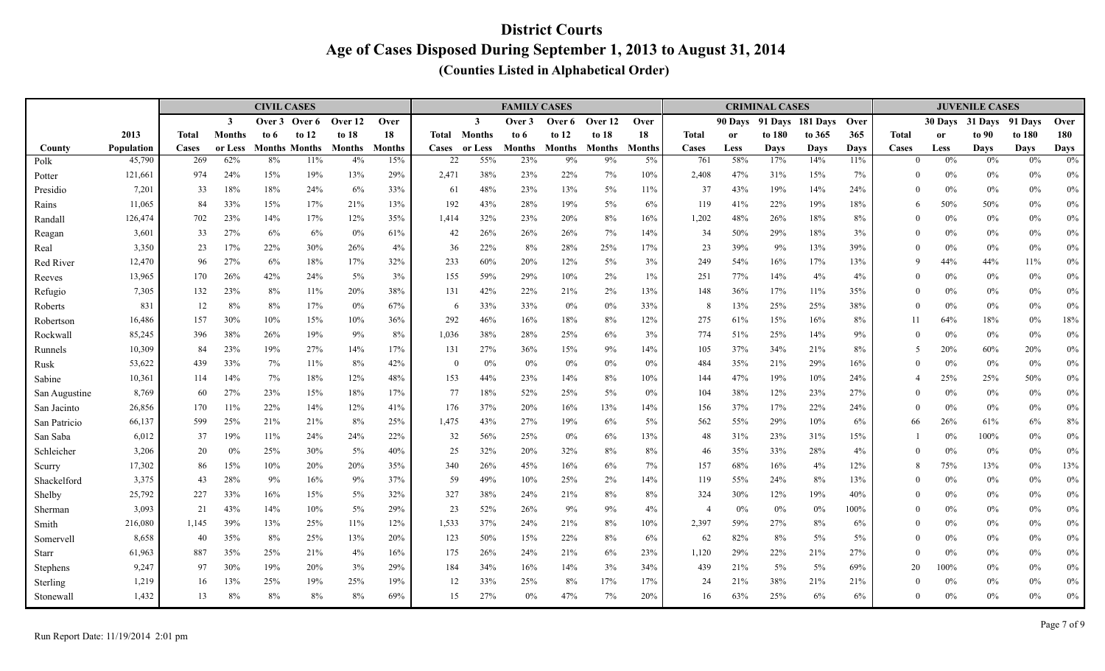|               |            |       |                         | <b>CIVIL CASES</b> |                      |               |               |              |               | <b>FAMILY CASES</b> |               |               |               |              |           | <b>CRIMINAL CASES</b> |                  |             |                |               | <b>JUVENILE CASES</b> |             |             |
|---------------|------------|-------|-------------------------|--------------------|----------------------|---------------|---------------|--------------|---------------|---------------------|---------------|---------------|---------------|--------------|-----------|-----------------------|------------------|-------------|----------------|---------------|-----------------------|-------------|-------------|
|               |            |       | $\overline{\mathbf{3}}$ | Over 3             | Over 6               | Over 12       | Over          |              | $\mathbf{3}$  | Over 3              | Over 6        | Over 12       | Over          |              | 90 Days   |                       | 91 Davs 181 Davs | <b>Over</b> |                | 30 Days       | 31 Days               | 91 Days     | Over        |
|               | 2013       | Total | <b>Months</b>           | to 6               | to $12$              | to $18$       | 18            | Total        | <b>Months</b> | to 6                | to $12$       | to $18$       | 18            | <b>Total</b> | <b>or</b> | to 180                | to 365           | 365         | <b>Total</b>   | <sub>or</sub> | to 90                 | to 180      | 180         |
| County        | Population | Cases | or Less                 |                    | <b>Months Months</b> | <b>Months</b> | <b>Months</b> | <b>Cases</b> | or Less       | <b>Months</b>       | <b>Months</b> | <b>Months</b> | <b>Months</b> | Cases        | Less      | Days                  | <b>Days</b>      | <b>Days</b> | <b>Cases</b>   | Less          | <b>Days</b>           | <b>Days</b> | <b>Days</b> |
| Polk          | 45,790     | 269   | 62%                     | 8%                 | 11%                  | 4%            | 15%           | 22           | 55%           | 23%                 | 9%            | 9%            | 5%            | 761          | 58%       | 17%                   | 14%              | 11%         | $\Omega$       | $0\%$         | $0\%$                 | 0%          | 0%          |
| Potter        | 121,661    | 974   | 24%                     | 15%                | 19%                  | 13%           | 29%           | 2,471        | 38%           | 23%                 | 22%           | 7%            | 10%           | 2,408        | 47%       | 31%                   | 15%              | 7%          | $\theta$       | 0%            | $0\%$                 | $0\%$       | $0\%$       |
| Presidio      | 7,201      | 33    | 18%                     | 18%                | 24%                  | 6%            | 33%           | 61           | 48%           | 23%                 | 13%           | $5\%$         | 11%           | 37           | 43%       | 19%                   | 14%              | 24%         | $\theta$       | 0%            | $0\%$                 | 0%          | $0\%$       |
| Rains         | 11,065     | 84    | 33%                     | 15%                | 17%                  | 21%           | 13%           | 192          | 43%           | 28%                 | 19%           | $5\%$         | 6%            | 119          | 41%       | 22%                   | 19%              | 18%         | 6              | 50%           | 50%                   | $0\%$       | $0\%$       |
| Randall       | 126,474    | 702   | 23%                     | 14%                | 17%                  | 12%           | 35%           | 1,414        | 32%           | 23%                 | 20%           | 8%            | 16%           | 1,202        | 48%       | 26%                   | 18%              | 8%          | $\Omega$       | 0%            | $0\%$                 | 0%          | $0\%$       |
| Reagan        | 3,601      | 33    | 27%                     | 6%                 | 6%                   | 0%            | 61%           | 42           | 26%           | 26%                 | 26%           | 7%            | 14%           | 34           | 50%       | 29%                   | 18%              | 3%          | $\Omega$       | $0\%$         | $0\%$                 | 0%          | $0\%$       |
| Real          | 3,350      | 23    | 17%                     | 22%                | 30%                  | 26%           | 4%            | 36           | 22%           | 8%                  | 28%           | 25%           | 17%           | 23           | 39%       | 9%                    | 13%              | 39%         | $\theta$       | 0%            | $0\%$                 | $0\%$       | $0\%$       |
| Red River     | 12,470     | 96    | 27%                     | 6%                 | 18%                  | 17%           | 32%           | 233          | 60%           | 20%                 | 12%           | 5%            | 3%            | 249          | 54%       | 16%                   | 17%              | 13%         | 9              | 44%           | 44%                   | 11%         | $0\%$       |
| Reeves        | 13,965     | 170   | 26%                     | 42%                | 24%                  | 5%            | 3%            | 155          | 59%           | 29%                 | 10%           | 2%            | $1\%$         | 251          | 77%       | 14%                   | 4%               | 4%          | $\Omega$       | $0\%$         | $0\%$                 | $0\%$       | $0\%$       |
| Refugio       | 7,305      | 132   | 23%                     | 8%                 | 11%                  | 20%           | 38%           | 131          | 42%           | 22%                 | 21%           | 2%            | 13%           | 148          | 36%       | 17%                   | 11%              | 35%         | $\theta$       | 0%            | $0\%$                 | $0\%$       | $0\%$       |
| Roberts       | 831        | 12    | 8%                      | 8%                 | 17%                  | 0%            | 67%           | -6           | 33%           | 33%                 | $0\%$         | $0\%$         | 33%           | 8            | 13%       | 25%                   | 25%              | 38%         | $\theta$       | $0\%$         | $0\%$                 | 0%          | $0\%$       |
| Robertson     | 16,486     | 157   | 30%                     | 10%                | 15%                  | 10%           | 36%           | 292          | 46%           | 16%                 | 18%           | 8%            | 12%           | 275          | 61%       | 15%                   | 16%              | 8%          |                | 64%           | 18%                   | 0%          | 18%         |
| Rockwall      | 85,245     | 396   | 38%                     | 26%                | 19%                  | 9%            | 8%            | 1,036        | 38%           | 28%                 | 25%           | 6%            | 3%            | 774          | 51%       | 25%                   | 14%              | 9%          | $\Omega$       | 0%            | $0\%$                 | 0%          | $0\%$       |
| Runnels       | 10,309     | 84    | 23%                     | 19%                | 27%                  | 14%           | 17%           | 131          | 27%           | 36%                 | 15%           | 9%            | 14%           | 105          | 37%       | 34%                   | 21%              | 8%          | 5              | 20%           | $60\%$                | 20%         | $0\%$       |
| Rusk          | 53,622     | 439   | 33%                     | 7%                 | 11%                  | 8%            | 42%           | $\theta$     | 0%            | 0%                  | 0%            | $0\%$         | 0%            | 484          | 35%       | 21%                   | 29%              | 16%         | $\Omega$       | 0%            | $0\%$                 | 0%          | $0\%$       |
| Sabine        | 10,361     | 114   | 14%                     | 7%                 | 18%                  | 12%           | 48%           | 153          | 44%           | 23%                 | 14%           | 8%            | 10%           | 144          | 47%       | 19%                   | 10%              | 24%         | $\overline{4}$ | 25%           | 25%                   | 50%         | $0\%$       |
| San Augustine | 8,769      | 60    | 27%                     | 23%                | 15%                  | 18%           | 17%           | 77           | 18%           | 52%                 | 25%           | $5\%$         | 0%            | 104          | 38%       | 12%                   | 23%              | 27%         | $\Omega$       | 0%            | $0\%$                 | $0\%$       | $0\%$       |
| San Jacinto   | 26,856     | 170   | 11%                     | 22%                | 14%                  | 12%           | 41%           | 176          | 37%           | 20%                 | 16%           | 13%           | 14%           | 156          | 37%       | 17%                   | 22%              | 24%         | $\Omega$       | $0\%$         | $0\%$                 | 0%          | $0\%$       |
| San Patricio  | 66,137     | 599   | 25%                     | 21%                | 21%                  | 8%            | 25%           | 1,475        | 43%           | 27%                 | 19%           | 6%            | 5%            | 562          | 55%       | 29%                   | 10%              | 6%          | 66             | 26%           | 61%                   | 6%          | $8\%$       |
| San Saba      | 6,012      | 37    | 19%                     | 11%                | 24%                  | 24%           | 22%           | 32           | 56%           | 25%                 | 0%            | 6%            | 13%           | 48           | 31%       | 23%                   | 31%              | 15%         |                | 0%            | 100%                  | 0%          | $0\%$       |
| Schleicher    | 3,206      | 20    | 0%                      | 25%                | 30%                  | $5\%$         | 40%           | 25           | 32%           | 20%                 | 32%           | 8%            | 8%            | 46           | 35%       | 33%                   | 28%              | $4\%$       | $\Omega$       | $0\%$         | $0\%$                 | $0\%$       | 0%          |
| Scurry        | 17,302     | 86    | 15%                     | 10%                | 20%                  | 20%           | 35%           | 340          | 26%           | 45%                 | 16%           | 6%            | 7%            | 157          | 68%       | 16%                   | 4%               | 12%         | 8              | 75%           | 13%                   | 0%          | 13%         |
| Shackelford   | 3,375      | 43    | 28%                     | 9%                 | 16%                  | 9%            | 37%           | 59           | 49%           | 10%                 | 25%           | 2%            | 14%           | 119          | 55%       | 24%                   | 8%               | 13%         | $\Omega$       | 0%            | $0\%$                 | $0\%$       | 0%          |
| Shelby        | 25,792     | 227   | 33%                     | 16%                | 15%                  | 5%            | 32%           | 327          | 38%           | 24%                 | 21%           | 8%            | $8\%$         | 324          | 30%       | 12%                   | 19%              | 40%         | $\theta$       | 0%            | $0\%$                 | $0\%$       | $0\%$       |
| Sherman       | 3,093      | 21    | 43%                     | 14%                | 10%                  | 5%            | 29%           | 23           | 52%           | 26%                 | 9%            | 9%            | 4%            | 4            | 0%        | $0\%$                 | $0\%$            | 100%        | $\Omega$       | 0%            | $0\%$                 | $0\%$       | $0\%$       |
| Smith         | 216,080    | 1,145 | 39%                     | 13%                | 25%                  | 11%           | 12%           | 1,533        | 37%           | 24%                 | 21%           | 8%            | 10%           | 2,397        | 59%       | 27%                   | 8%               | 6%          | $\Omega$       | 0%            | $0\%$                 | $0\%$       | $0\%$       |
| Somervell     | 8,658      | 40    | 35%                     | 8%                 | 25%                  | 13%           | 20%           | 123          | 50%           | 15%                 | 22%           | 8%            | 6%            | 62           | 82%       | 8%                    | $5\%$            | 5%          | $\theta$       | 0%            | $0\%$                 | $0\%$       | $0\%$       |
| <b>Starr</b>  | 61,963     | 887   | 35%                     | 25%                | 21%                  | 4%            | 16%           | 175          | 26%           | 24%                 | 21%           | 6%            | 23%           | 1,120        | 29%       | 22%                   | 21%              | 27%         | $\theta$       | 0%            | $0\%$                 | 0%          | $0\%$       |
| Stephens      | 9,247      | 97    | 30%                     | 19%                | 20%                  | 3%            | 29%           | 184          | 34%           | 16%                 | 14%           | 3%            | 34%           | 439          | 21%       | $5\%$                 | $5\%$            | 69%         | 20             | 100%          | $0\%$                 | $0\%$       | $0\%$       |
| Sterling      | 1,219      | 16    | 13%                     | 25%                | 19%                  | 25%           | 19%           | 12           | 33%           | 25%                 | 8%            | 17%           | 17%           | 24           | 21%       | 38%                   | 21%              | 21%         | $\Omega$       | 0%            | $0\%$                 | $0\%$       | $0\%$       |
| Stonewall     | 1,432      | 13    | 8%                      | 8%                 | 8%                   | 8%            | 69%           | 15           | 27%           | $0\%$               | 47%           | 7%            | 20%           | 16           | 63%       | 25%                   | 6%               | 6%          | $\Omega$       | 0%            | $0\%$                 | $0\%$       | $0\%$       |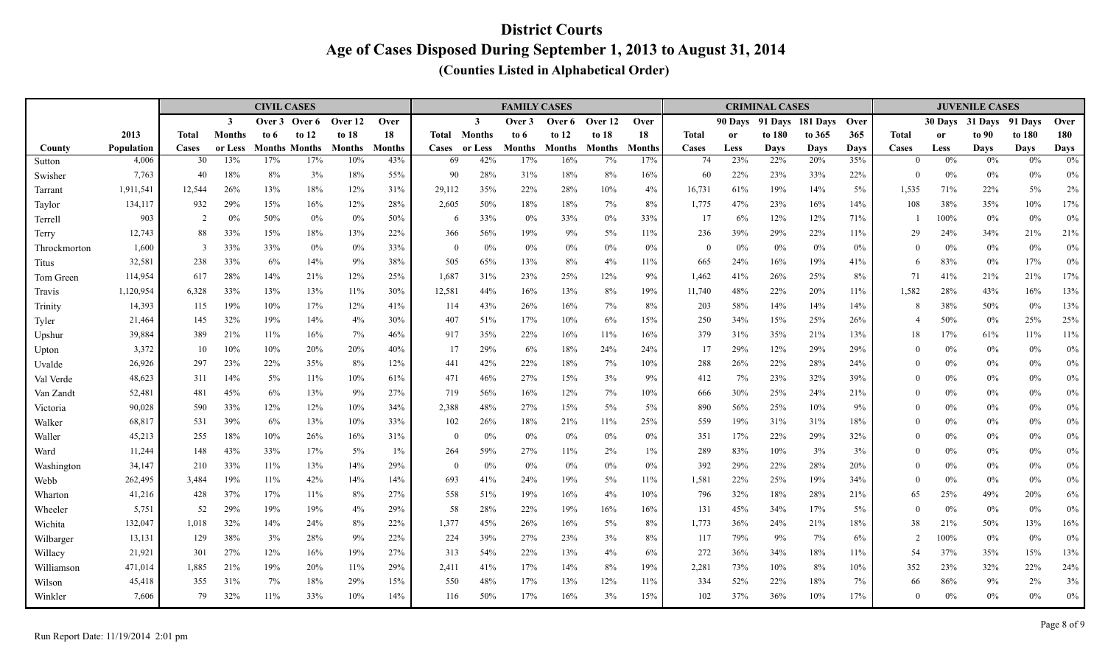|                   |                    |                |               | <b>CIVIL CASES</b> |                             |               |               |                    |                | <b>FAMILY CASES</b> |                      |               |                      |              |             | <b>CRIMINAL CASES</b> |                  |             |                          |               | <b>JUVENILE CASES</b> |                   |                |
|-------------------|--------------------|----------------|---------------|--------------------|-----------------------------|---------------|---------------|--------------------|----------------|---------------------|----------------------|---------------|----------------------|--------------|-------------|-----------------------|------------------|-------------|--------------------------|---------------|-----------------------|-------------------|----------------|
|                   |                    |                | $\mathbf{3}$  | Over 3             | Over 6                      | Over 12       | Over          |                    | $\mathbf{3}$   | Over 3              | Over 6               | Over 12       | Over                 |              | 90 Davs     |                       | 91 Days 181 Days | Over        |                          | 30 Days       | 31 Days               | 91 Davs           | Over           |
|                   | 2013               | <b>Total</b>   | <b>Months</b> | to 6               | to $12$                     | to $18$       | 18            | Total              | Months         | to 6                | to $12$              | to $18$       | 18                   | <b>Total</b> | <b>or</b>   | to 180                | to 365           | 365         | <b>Total</b>             | <sub>or</sub> | to 90                 | to 180            | 180            |
| County            | Population         | Cases<br>30    | or Less       | 17%                | <b>Months Months</b><br>17% | <b>Months</b> | <b>Months</b> | <b>Cases</b><br>69 | or Less<br>42% | Months              | <b>Months</b><br>16% | <b>Months</b> | <b>Months</b><br>17% | Cases<br>74  | Less<br>23% | Days<br>22%           | Days             | <b>Days</b> | Cases<br>$\theta$        | Less<br>$0\%$ | <b>Days</b><br>0%     | <b>Days</b><br>0% | <b>Days</b>    |
| Sutton            | 4,006              | 40             | 13%<br>18%    | 8%                 | 3%                          | 10%<br>18%    | 43%<br>55%    | 90                 | 28%            | 17%<br>31%          | 18%                  | 7%<br>8%      |                      |              | 22%         | 23%                   | 20%              | 35%         | $\Omega$                 | $0\%$         |                       |                   | 0%             |
| Swisher           | 7,763<br>1,911,541 | 12,544         | 26%           | 13%                | 18%                         | 12%           | 31%           | 29,112             | 35%            | 22%                 | 28%                  | 10%           | 16%<br>4%            | 60<br>16,731 | 61%         | 19%                   | 33%<br>14%       | 22%<br>5%   | 1,535                    | 71%           | $0\%$<br>22%          | 0%<br>5%          | $0\%$<br>$2\%$ |
| Tarrant<br>Taylor | 134,117            | 932            | 29%           | 15%                | 16%                         | 12%           | 28%           | 2,605              | 50%            | 18%                 | 18%                  | 7%            | 8%                   | 1,775        | 47%         | 23%                   | 16%              | 14%         | 108                      | 38%           | 35%                   | 10%               | $17\%$         |
| Terrell           | 903                | $\overline{2}$ | 0%            | 50%                | $0\%$                       | 0%            | 50%           | 6                  | 33%            | $0\%$               | 33%                  | $0\%$         | 33%                  | 17           | 6%          | 12%                   | 12%              | 71%         |                          | 100%          | $0\%$                 | $0\%$             | $0\%$          |
| Terry             | 12,743             | 88             | 33%           | 15%                | 18%                         | 13%           | 22%           | 366                | 56%            | 19%                 | 9%                   | $5\%$         | 11%                  | 236          | 39%         | 29%                   | 22%              | 11%         | 29                       | 24%           | 34%                   | 21%               | 21%            |
| Throckmorton      | 1,600              | -3             | 33%           | 33%                | $0\%$                       | 0%            | 33%           | $\overline{0}$     | 0%             | 0%                  | $0\%$                | 0%            | 0%                   | $\theta$     | 0%          | $0\%$                 | $0\%$            | 0%          | $\theta$                 | $0\%$         | $0\%$                 | $0\%$             | $0\%$          |
| Titus             | 32,581             | 238            | 33%           | 6%                 | 14%                         | 9%            | 38%           | 505                | 65%            | 13%                 | 8%                   | 4%            | 11%                  | 665          | 24%         | 16%                   | 19%              | 41%         | 6                        | 83%           | $0\%$                 | 17%               | $0\%$          |
| Tom Green         | 114,954            | 617            | 28%           | 14%                | 21%                         | 12%           | 25%           | 1,687              | 31%            | 23%                 | 25%                  | 12%           | 9%                   | 1,462        | 41%         | 26%                   | 25%              | 8%          | 71                       | 41%           | 21%                   | 21%               | $17\%$         |
| Travis            | 1,120,954          | 6,328          | 33%           | 13%                | 13%                         | 11%           | 30%           | 12,581             | 44%            | 16%                 | 13%                  | 8%            | 19%                  | 11,740       | 48%         | 22%                   | 20%              | 11%         | 1,582                    | 28%           | 43%                   | 16%               | 13%            |
| Trinity           | 14,393             | 115            | 19%           | 10%                | 17%                         | 12%           | 41%           | 114                | 43%            | 26%                 | 16%                  | 7%            | $8\%$                | 203          | 58%         | 14%                   | 14%              | 14%         | 8                        | 38%           | 50%                   | 0%                | 13%            |
| Tyler             | 21,464             | 145            | 32%           | 19%                | 14%                         | 4%            | 30%           | 407                | 51%            | 17%                 | 10%                  | 6%            | 15%                  | 250          | 34%         | 15%                   | 25%              | 26%         | $\overline{\mathcal{L}}$ | 50%           | $0\%$                 | 25%               | 25%            |
| Upshur            | 39,884             | 389            | 21%           | 11%                | 16%                         | 7%            | 46%           | 917                | 35%            | 22%                 | 16%                  | 11%           | 16%                  | 379          | 31%         | 35%                   | 21%              | 13%         | 18                       | 17%           | 61%                   | 11%               | $11\%$         |
| Upton             | 3,372              | 10             | 10%           | 10%                | 20%                         | 20%           | 40%           | 17                 | 29%            | 6%                  | 18%                  | 24%           | 24%                  | 17           | 29%         | 12%                   | 29%              | 29%         | $\theta$                 | 0%            | $0\%$                 | $0\%$             | $0\%$          |
| Uvalde            | 26,926             | 297            | 23%           | 22%                | 35%                         | 8%            | 12%           | 441                | 42%            | 22%                 | 18%                  | 7%            | 10%                  | 288          | 26%         | 22%                   | 28%              | 24%         | $\Omega$                 | $0\%$         | $0\%$                 | 0%                | $0\%$          |
| Val Verde         | 48,623             | 311            | 14%           | 5%                 | 11%                         | 10%           | 61%           | 471                | 46%            | 27%                 | 15%                  | 3%            | 9%                   | 412          | 7%          | 23%                   | 32%              | 39%         | $\theta$                 | $0\%$         | $0\%$                 | $0\%$             | $0\%$          |
| Van Zandt         | 52,481             | 481            | 45%           | 6%                 | 13%                         | 9%            | 27%           | 719                | 56%            | 16%                 | 12%                  | 7%            | 10%                  | 666          | 30%         | 25%                   | 24%              | 21%         | $\Omega$                 | $0\%$         | $0\%$                 | $0\%$             | $0\%$          |
| Victoria          | 90,028             | 590            | 33%           | 12%                | 12%                         | 10%           | 34%           | 2,388              | 48%            | 27%                 | 15%                  | 5%            | 5%                   | 890          | 56%         | 25%                   | 10%              | 9%          | $\theta$                 | 0%            | $0\%$                 | $0\%$             | $0\%$          |
| Walker            | 68,817             | 531            | 39%           | 6%                 | 13%                         | 10%           | 33%           | 102                | 26%            | 18%                 | 21%                  | 11%           | 25%                  | 559          | 19%         | 31%                   | 31%              | 18%         | $\theta$                 | 0%            | $0\%$                 | $0\%$             | $0\%$          |
| Waller            | 45,213             | 255            | 18%           | 10%                | 26%                         | 16%           | 31%           | $\overline{0}$     | $0\%$          | 0%                  | $0\%$                | $0\%$         | 0%                   | 351          | 17%         | 22%                   | 29%              | 32%         | $\theta$                 | 0%            | $0\%$                 | $0\%$             | $0\%$          |
| Ward              | 11,244             | 148            | 43%           | 33%                | 17%                         | 5%            | $1\%$         | 264                | 59%            | 27%                 | 11%                  | $2\%$         | $1\%$                | 289          | 83%         | 10%                   | 3%               | 3%          | $\theta$                 | $0\%$         | $0\%$                 | $0\%$             | $0\%$          |
| Washington        | 34,147             | 210            | 33%           | 11%                | 13%                         | 14%           | 29%           | $\theta$           | 0%             | 0%                  | 0%                   | $0\%$         | 0%                   | 392          | 29%         | 22%                   | 28%              | 20%         | $\theta$                 | 0%            | $0\%$                 | $0\%$             | $0\%$          |
| Webb              | 262,495            | 3,484          | 19%           | 11%                | 42%                         | 14%           | 14%           | 693                | 41%            | 24%                 | 19%                  | $5\%$         | 11%                  | 1,581        | 22%         | 25%                   | 19%              | 34%         | $\Omega$                 | 0%            | $0\%$                 | 0%                | $0\%$          |
| Wharton           | 41,216             | 428            | 37%           | 17%                | 11%                         | 8%            | 27%           | 558                | 51%            | 19%                 | 16%                  | 4%            | 10%                  | 796          | 32%         | 18%                   | 28%              | 21%         | 65                       | 25%           | 49%                   | 20%               | $6\%$          |
| Wheeler           | 5,751              | 52             | 29%           | 19%                | 19%                         | 4%            | 29%           | 58                 | 28%            | 22%                 | 19%                  | 16%           | 16%                  | 131          | 45%         | 34%                   | 17%              | 5%          | $\theta$                 | $0\%$         | $0\%$                 | $0\%$             | $0\%$          |
| Wichita           | 132,047            | 1,018          | 32%           | 14%                | 24%                         | 8%            | 22%           | 1,377              | 45%            | 26%                 | 16%                  | $5\%$         | 8%                   | 1,773        | 36%         | 24%                   | 21%              | 18%         | 38                       | 21%           | $50\%$                | 13%               | $16\%$         |
| Wilbarger         | 13,131             | 129            | 38%           | 3%                 | 28%                         | 9%            | 22%           | 224                | 39%            | 27%                 | 23%                  | 3%            | 8%                   | 117          | 79%         | 9%                    | 7%               | 6%          | $\overline{2}$           | 100%          | $0\%$                 | 0%                | $0\%$          |
| Willacy           | 21,921             | 301            | 27%           | 12%                | 16%                         | 19%           | 27%           | 313                | 54%            | 22%                 | 13%                  | 4%            | 6%                   | 272          | 36%         | 34%                   | $18\%$           | 11%         | 54                       | 37%           | 35%                   | 15%               | 13%            |
| Williamson        | 471,014            | 1,885          | 21%           | 19%                | 20%                         | 11%           | 29%           | 2,411              | 41%            | 17%                 | 14%                  | 8%            | 19%                  | 2,281        | 73%         | 10%                   | 8%               | 10%         | 352                      | 23%           | 32%                   | 22%               | 24%            |
| Wilson            | 45,418             | 355            | 31%           | 7%                 | 18%                         | 29%           | 15%           | 550                | 48%            | 17%                 | 13%                  | 12%           | 11%                  | 334          | 52%         | 22%                   | 18%              | 7%          | 66                       | 86%           | 9%                    | $2\%$             | 3%             |
| Winkler           | 7,606              | 79             | 32%           | 11%                | 33%                         | 10%           | 14%           | 116                | 50%            | 17%                 | 16%                  | 3%            | 15%                  | 102          | 37%         | 36%                   | 10%              | 17%         | $\theta$                 | $0\%$         | $0\%$                 | $0\%$             | $0\%$          |